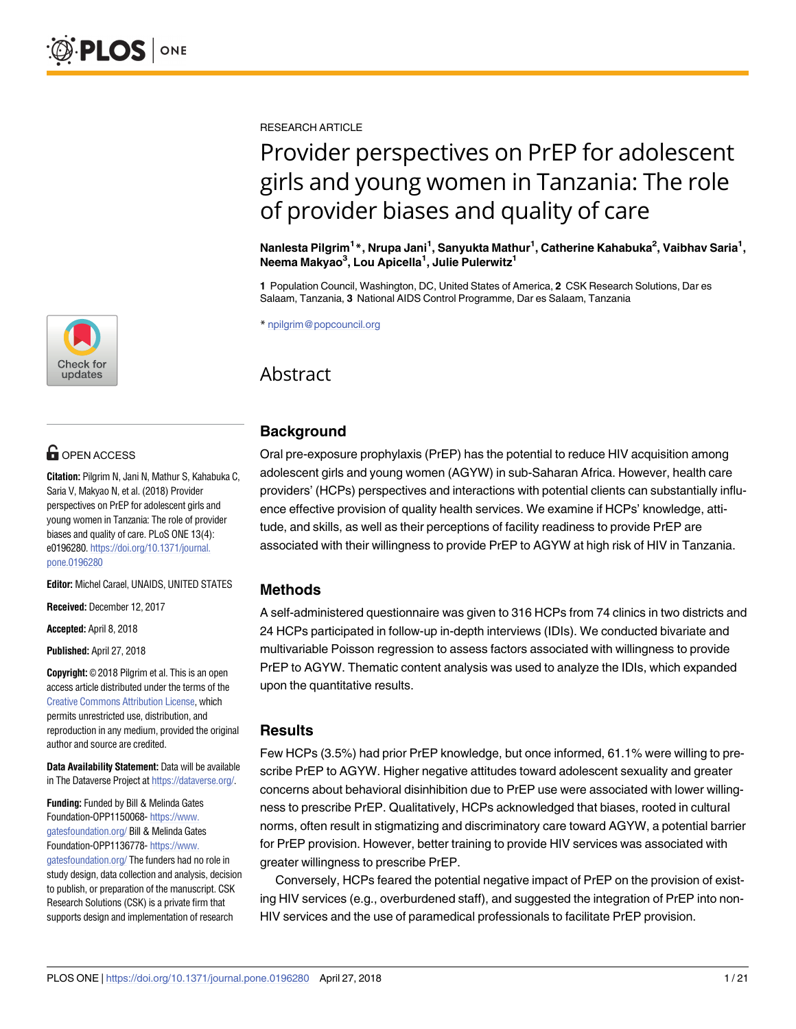

# **OPEN ACCESS**

**Citation:** Pilgrim N, Jani N, Mathur S, Kahabuka C, Saria V, Makyao N, et al. (2018) Provider perspectives on PrEP for adolescent girls and young women in Tanzania: The role of provider biases and quality of care. PLoS ONE 13(4): e0196280. [https://doi.org/10.1371/journal.](https://doi.org/10.1371/journal.pone.0196280) [pone.0196280](https://doi.org/10.1371/journal.pone.0196280)

**Editor:** Michel Carael, UNAIDS, UNITED STATES

**Received:** December 12, 2017

**Accepted:** April 8, 2018

**Published:** April 27, 2018

**Copyright:** © 2018 Pilgrim et al. This is an open access article distributed under the terms of the Creative Commons [Attribution](http://creativecommons.org/licenses/by/4.0/) License, which permits unrestricted use, distribution, and reproduction in any medium, provided the original author and source are credited.

**Data Availability Statement:** Data will be available in The Dataverse Project at <https://dataverse.org/>.

**Funding:** Funded by Bill & Melinda Gates Foundation-OPP1150068- [https://www.](https://www.gatesfoundation.org/) [gatesfoundation.org/](https://www.gatesfoundation.org/) Bill & Melinda Gates Foundation-OPP1136778- [https://www.](https://www.gatesfoundation.org/) [gatesfoundation.org/](https://www.gatesfoundation.org/) The funders had no role in study design, data collection and analysis, decision to publish, or preparation of the manuscript. CSK Research Solutions (CSK) is a private firm that supports design and implementation of research

RESEARCH ARTICLE

# Provider perspectives on PrEP for adolescent girls and young women in Tanzania: The role of provider biases and quality of care

**Nanlesta Pilgrim1 \*, Nrupa Jani1 , Sanyukta Mathur1 , Catherine Kahabuka2 , Vaibhav Saria1 , Neema Makyao3 , Lou Apicella1 , Julie Pulerwitz1**

**1** Population Council, Washington, DC, United States of America, **2** CSK Research Solutions, Dar es Salaam, Tanzania, **3** National AIDS Control Programme, Dar es Salaam, Tanzania

\* npilgrim@popcouncil.org

## Abstract

## **Background**

Oral pre-exposure prophylaxis (PrEP) has the potential to reduce HIV acquisition among adolescent girls and young women (AGYW) in sub-Saharan Africa. However, health care providers' (HCPs) perspectives and interactions with potential clients can substantially influence effective provision of quality health services. We examine if HCPs' knowledge, attitude, and skills, as well as their perceptions of facility readiness to provide PrEP are associated with their willingness to provide PrEP to AGYW at high risk of HIV in Tanzania.

## **Methods**

A self-administered questionnaire was given to 316 HCPs from 74 clinics in two districts and 24 HCPs participated in follow-up in-depth interviews (IDIs). We conducted bivariate and multivariable Poisson regression to assess factors associated with willingness to provide PrEP to AGYW. Thematic content analysis was used to analyze the IDIs, which expanded upon the quantitative results.

#### **Results**

Few HCPs (3.5%) had prior PrEP knowledge, but once informed, 61.1% were willing to prescribe PrEP to AGYW. Higher negative attitudes toward adolescent sexuality and greater concerns about behavioral disinhibition due to PrEP use were associated with lower willingness to prescribe PrEP. Qualitatively, HCPs acknowledged that biases, rooted in cultural norms, often result in stigmatizing and discriminatory care toward AGYW, a potential barrier for PrEP provision. However, better training to provide HIV services was associated with greater willingness to prescribe PrEP.

Conversely, HCPs feared the potential negative impact of PrEP on the provision of existing HIV services (e.g., overburdened staff), and suggested the integration of PrEP into non-HIV services and the use of paramedical professionals to facilitate PrEP provision.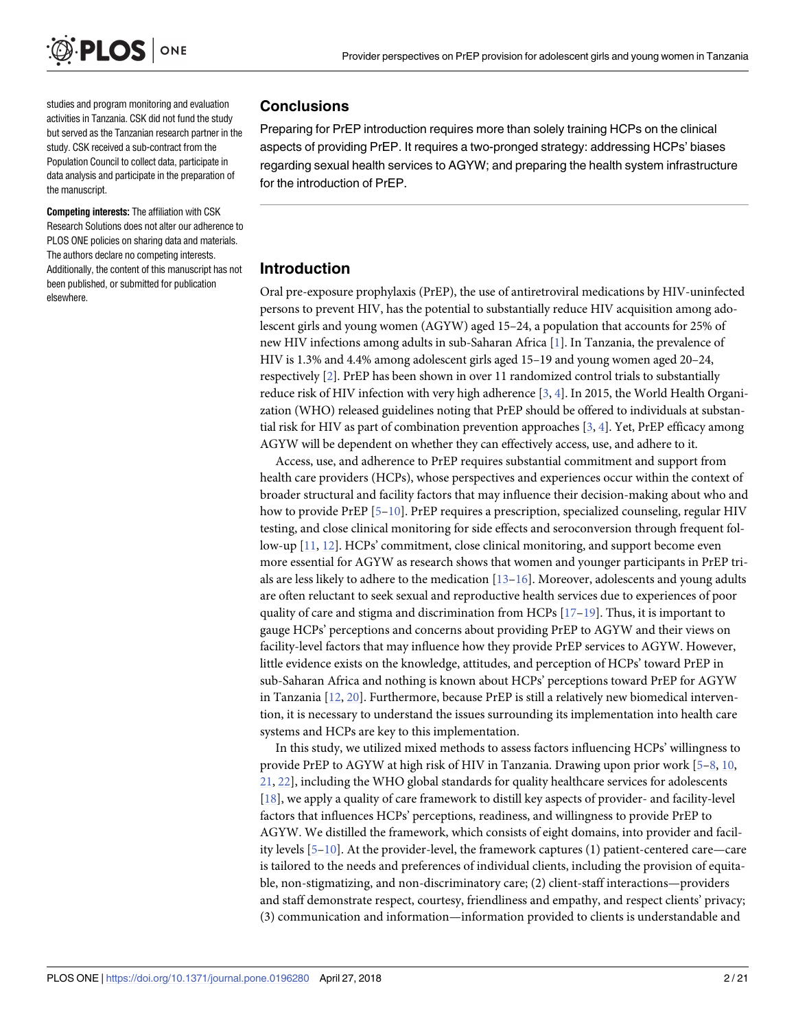<span id="page-1-0"></span>

studies and program monitoring and evaluation activities in Tanzania. CSK did not fund the study but served as the Tanzanian research partner in the study. CSK received a sub-contract from the Population Council to collect data, participate in data analysis and participate in the preparation of the manuscript.

**Competing interests:** The affiliation with CSK Research Solutions does not alter our adherence to PLOS ONE policies on sharing data and materials. The authors declare no competing interests. Additionally, the content of this manuscript has not been published, or submitted for publication elsewhere.

#### **Conclusions**

Preparing for PrEP introduction requires more than solely training HCPs on the clinical aspects of providing PrEP. It requires a two-pronged strategy: addressing HCPs' biases regarding sexual health services to AGYW; and preparing the health system infrastructure for the introduction of PrEP.

## **Introduction**

Oral pre-exposure prophylaxis (PrEP), the use of antiretroviral medications by HIV-uninfected persons to prevent HIV, has the potential to substantially reduce HIV acquisition among adolescent girls and young women (AGYW) aged 15–24, a population that accounts for 25% of new HIV infections among adults in sub-Saharan Africa [\[1](#page-18-0)]. In Tanzania, the prevalence of HIV is 1.3% and 4.4% among adolescent girls aged 15–19 and young women aged 20–24, respectively [\[2](#page-18-0)]. PrEP has been shown in over 11 randomized control trials to substantially reduce risk of HIV infection with very high adherence [[3](#page-18-0), [4](#page-18-0)]. In 2015, the World Health Organization (WHO) released guidelines noting that PrEP should be offered to individuals at substan-tial risk for HIV as part of combination prevention approaches [\[3](#page-18-0), [4](#page-18-0)]. Yet, PrEP efficacy among AGYW will be dependent on whether they can effectively access, use, and adhere to it.

Access, use, and adherence to PrEP requires substantial commitment and support from health care providers (HCPs), whose perspectives and experiences occur within the context of broader structural and facility factors that may influence their decision-making about who and how to provide PrEP [[5](#page-18-0)–[10](#page-18-0)]. PrEP requires a prescription, specialized counseling, regular HIV testing, and close clinical monitoring for side effects and seroconversion through frequent follow-up [[11](#page-18-0), [12](#page-18-0)]. HCPs' commitment, close clinical monitoring, and support become even more essential for AGYW as research shows that women and younger participants in PrEP trials are less likely to adhere to the medication  $[13–16]$  $[13–16]$ . Moreover, adolescents and young adults are often reluctant to seek sexual and reproductive health services due to experiences of poor quality of care and stigma and discrimination from HCPs  $[17-19]$ . Thus, it is important to gauge HCPs' perceptions and concerns about providing PrEP to AGYW and their views on facility-level factors that may influence how they provide PrEP services to AGYW. However, little evidence exists on the knowledge, attitudes, and perception of HCPs' toward PrEP in sub-Saharan Africa and nothing is known about HCPs' perceptions toward PrEP for AGYW in Tanzania [[12](#page-18-0), [20](#page-18-0)]. Furthermore, because PrEP is still a relatively new biomedical intervention, it is necessary to understand the issues surrounding its implementation into health care systems and HCPs are key to this implementation.

In this study, we utilized mixed methods to assess factors influencing HCPs' willingness to provide PrEP to AGYW at high risk of HIV in Tanzania. Drawing upon prior work [\[5–8,](#page-18-0) [10,](#page-18-0) [21,](#page-19-0) [22](#page-19-0)], including the WHO global standards for quality healthcare services for adolescents [\[18\]](#page-18-0), we apply a quality of care framework to distill key aspects of provider- and facility-level factors that influences HCPs' perceptions, readiness, and willingness to provide PrEP to AGYW. We distilled the framework, which consists of eight domains, into provider and facility levels [[5](#page-18-0)–[10\]](#page-18-0). At the provider-level, the framework captures (1) patient-centered care—care is tailored to the needs and preferences of individual clients, including the provision of equitable, non-stigmatizing, and non-discriminatory care; (2) client-staff interactions—providers and staff demonstrate respect, courtesy, friendliness and empathy, and respect clients' privacy; (3) communication and information—information provided to clients is understandable and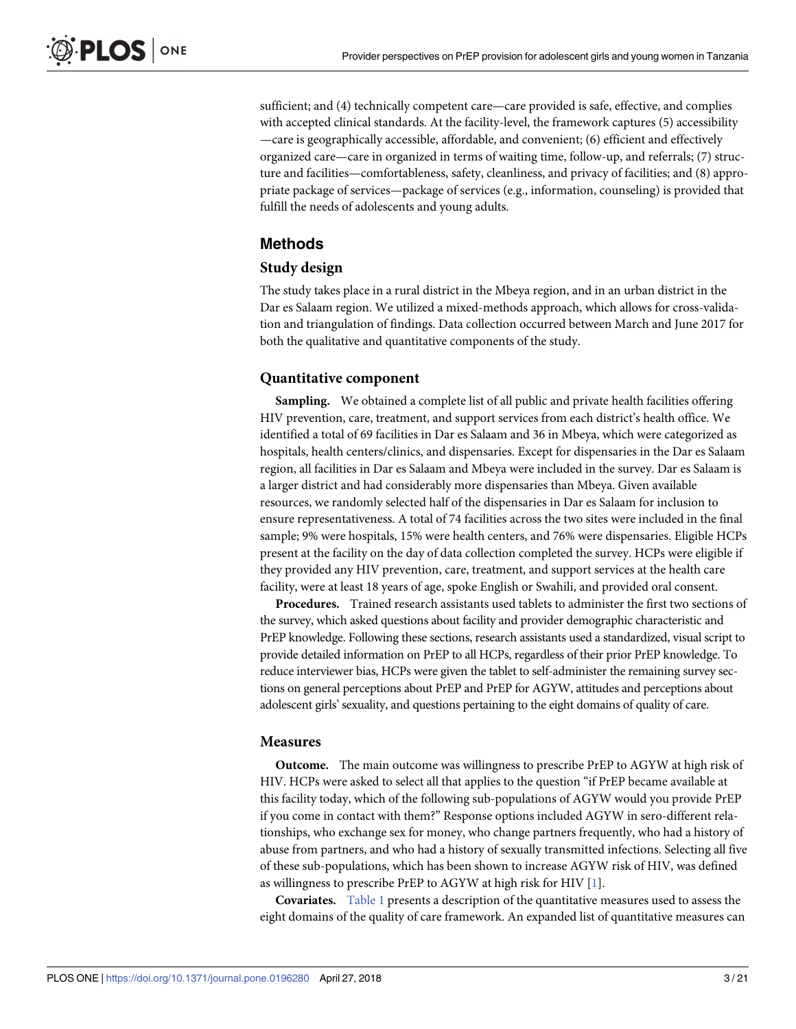<span id="page-2-0"></span>sufficient; and (4) technically competent care—care provided is safe, effective, and complies with accepted clinical standards. At the facility-level, the framework captures (5) accessibility —care is geographically accessible, affordable, and convenient; (6) efficient and effectively organized care—care in organized in terms of waiting time, follow-up, and referrals; (7) structure and facilities—comfortableness, safety, cleanliness, and privacy of facilities; and (8) appropriate package of services—package of services (e.g., information, counseling) is provided that fulfill the needs of adolescents and young adults.

## **Methods**

#### **Study design**

The study takes place in a rural district in the Mbeya region, and in an urban district in the Dar es Salaam region. We utilized a mixed-methods approach, which allows for cross-validation and triangulation of findings. Data collection occurred between March and June 2017 for both the qualitative and quantitative components of the study.

#### **Quantitative component**

**Sampling.** We obtained a complete list of all public and private health facilities offering HIV prevention, care, treatment, and support services from each district's health office. We identified a total of 69 facilities in Dar es Salaam and 36 in Mbeya, which were categorized as hospitals, health centers/clinics, and dispensaries. Except for dispensaries in the Dar es Salaam region, all facilities in Dar es Salaam and Mbeya were included in the survey. Dar es Salaam is a larger district and had considerably more dispensaries than Mbeya. Given available resources, we randomly selected half of the dispensaries in Dar es Salaam for inclusion to ensure representativeness. A total of 74 facilities across the two sites were included in the final sample; 9% were hospitals, 15% were health centers, and 76% were dispensaries. Eligible HCPs present at the facility on the day of data collection completed the survey. HCPs were eligible if they provided any HIV prevention, care, treatment, and support services at the health care facility, were at least 18 years of age, spoke English or Swahili, and provided oral consent.

**Procedures.** Trained research assistants used tablets to administer the first two sections of the survey, which asked questions about facility and provider demographic characteristic and PrEP knowledge. Following these sections, research assistants used a standardized, visual script to provide detailed information on PrEP to all HCPs, regardless of their prior PrEP knowledge. To reduce interviewer bias, HCPs were given the tablet to self-administer the remaining survey sections on general perceptions about PrEP and PrEP for AGYW, attitudes and perceptions about adolescent girls' sexuality, and questions pertaining to the eight domains of quality of care.

#### **Measures**

**Outcome.** The main outcome was willingness to prescribe PrEP to AGYW at high risk of HIV. HCPs were asked to select all that applies to the question "if PrEP became available at this facility today, which of the following sub-populations of AGYW would you provide PrEP if you come in contact with them?" Response options included AGYW in sero-different relationships, who exchange sex for money, who change partners frequently, who had a history of abuse from partners, and who had a history of sexually transmitted infections. Selecting all five of these sub-populations, which has been shown to increase AGYW risk of HIV, was defined as willingness to prescribe PrEP to AGYW at high risk for HIV [\[1\]](#page-18-0).

**Covariates.** [Table](#page-3-0) 1 presents a description of the quantitative measures used to assess the eight domains of the quality of care framework. An expanded list of quantitative measures can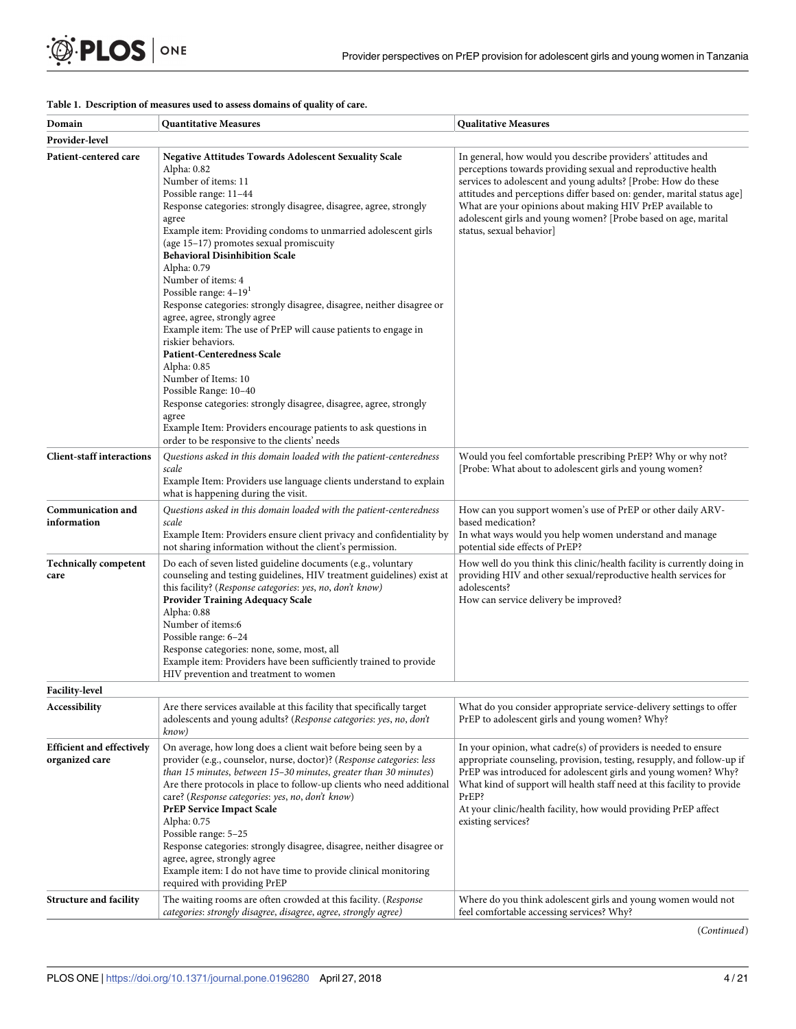#### <span id="page-3-0"></span>**[Table](#page-2-0) 1. Description of measures used to assess domains of quality of care.**

| Domain                                             | <b>Quantitative Measures</b>                                                                                                                                                                                                                                                                                                                                                                                                                                                                                                                                                                                                                                                                                                                                                                                                                                                                                                        | <b>Qualitative Measures</b>                                                                                                                                                                                                                                                                                                                                                                                                       |  |  |  |  |
|----------------------------------------------------|-------------------------------------------------------------------------------------------------------------------------------------------------------------------------------------------------------------------------------------------------------------------------------------------------------------------------------------------------------------------------------------------------------------------------------------------------------------------------------------------------------------------------------------------------------------------------------------------------------------------------------------------------------------------------------------------------------------------------------------------------------------------------------------------------------------------------------------------------------------------------------------------------------------------------------------|-----------------------------------------------------------------------------------------------------------------------------------------------------------------------------------------------------------------------------------------------------------------------------------------------------------------------------------------------------------------------------------------------------------------------------------|--|--|--|--|
| Provider-level                                     |                                                                                                                                                                                                                                                                                                                                                                                                                                                                                                                                                                                                                                                                                                                                                                                                                                                                                                                                     |                                                                                                                                                                                                                                                                                                                                                                                                                                   |  |  |  |  |
| Patient-centered care                              | <b>Negative Attitudes Towards Adolescent Sexuality Scale</b><br>Alpha: 0.82<br>Number of items: 11<br>Possible range: 11-44<br>Response categories: strongly disagree, disagree, agree, strongly<br>agree<br>Example item: Providing condoms to unmarried adolescent girls<br>(age 15-17) promotes sexual promiscuity<br><b>Behavioral Disinhibition Scale</b><br>Alpha: 0.79<br>Number of items: 4<br>Possible range: $4-191$<br>Response categories: strongly disagree, disagree, neither disagree or<br>agree, agree, strongly agree<br>Example item: The use of PrEP will cause patients to engage in<br>riskier behaviors.<br><b>Patient-Centeredness Scale</b><br>Alpha: 0.85<br>Number of Items: 10<br>Possible Range: 10-40<br>Response categories: strongly disagree, disagree, agree, strongly<br>agree<br>Example Item: Providers encourage patients to ask questions in<br>order to be responsive to the clients' needs | In general, how would you describe providers' attitudes and<br>perceptions towards providing sexual and reproductive health<br>services to adolescent and young adults? [Probe: How do these<br>attitudes and perceptions differ based on: gender, marital status age]<br>What are your opinions about making HIV PrEP available to<br>adolescent girls and young women? [Probe based on age, marital<br>status, sexual behavior] |  |  |  |  |
| <b>Client-staff interactions</b>                   | Questions asked in this domain loaded with the patient-centeredness<br>scale<br>Example Item: Providers use language clients understand to explain<br>what is happening during the visit.                                                                                                                                                                                                                                                                                                                                                                                                                                                                                                                                                                                                                                                                                                                                           | Would you feel comfortable prescribing PrEP? Why or why not?<br>[Probe: What about to adolescent girls and young women?                                                                                                                                                                                                                                                                                                           |  |  |  |  |
| <b>Communication and</b><br>information            | Questions asked in this domain loaded with the patient-centeredness<br>scale<br>Example Item: Providers ensure client privacy and confidentiality by<br>not sharing information without the client's permission.                                                                                                                                                                                                                                                                                                                                                                                                                                                                                                                                                                                                                                                                                                                    | How can you support women's use of PrEP or other daily ARV-<br>based medication?<br>In what ways would you help women understand and manage<br>potential side effects of PrEP?                                                                                                                                                                                                                                                    |  |  |  |  |
| <b>Technically competent</b><br>care               | Do each of seven listed guideline documents (e.g., voluntary<br>counseling and testing guidelines, HIV treatment guidelines) exist at<br>this facility? (Response categories: yes, no, don't know)<br><b>Provider Training Adequacy Scale</b><br>Alpha: 0.88<br>Number of items:6<br>Possible range: 6-24<br>Response categories: none, some, most, all<br>Example item: Providers have been sufficiently trained to provide<br>HIV prevention and treatment to women                                                                                                                                                                                                                                                                                                                                                                                                                                                               | How well do you think this clinic/health facility is currently doing in<br>providing HIV and other sexual/reproductive health services for<br>adolescents?<br>How can service delivery be improved?                                                                                                                                                                                                                               |  |  |  |  |
| <b>Facility-level</b>                              |                                                                                                                                                                                                                                                                                                                                                                                                                                                                                                                                                                                                                                                                                                                                                                                                                                                                                                                                     |                                                                                                                                                                                                                                                                                                                                                                                                                                   |  |  |  |  |
| Accessibility                                      | Are there services available at this facility that specifically target<br>adolescents and young adults? (Response categories: yes, no, don't<br>know)                                                                                                                                                                                                                                                                                                                                                                                                                                                                                                                                                                                                                                                                                                                                                                               | What do you consider appropriate service-delivery settings to offer<br>PrEP to adolescent girls and young women? Why?                                                                                                                                                                                                                                                                                                             |  |  |  |  |
| <b>Efficient and effectively</b><br>organized care | On average, how long does a client wait before being seen by a<br>provider (e.g., counselor, nurse, doctor)? (Response categories: less<br>than 15 minutes, between 15-30 minutes, greater than 30 minutes)<br>Are there protocols in place to follow-up clients who need additional<br>care? (Response categories: yes, no, don't know)<br><b>PrEP Service Impact Scale</b><br>Alpha: 0.75<br>Possible range: 5-25<br>Response categories: strongly disagree, disagree, neither disagree or<br>agree, agree, strongly agree<br>Example item: I do not have time to provide clinical monitoring<br>required with providing PrEP                                                                                                                                                                                                                                                                                                     | In your opinion, what cadre(s) of providers is needed to ensure<br>appropriate counseling, provision, testing, resupply, and follow-up if<br>PrEP was introduced for adolescent girls and young women? Why?<br>What kind of support will health staff need at this facility to provide<br>PrEP?<br>At your clinic/health facility, how would providing PrEP affect<br>existing services?                                          |  |  |  |  |
| <b>Structure and facility</b>                      | The waiting rooms are often crowded at this facility. (Response<br>categories: strongly disagree, disagree, agree, strongly agree)                                                                                                                                                                                                                                                                                                                                                                                                                                                                                                                                                                                                                                                                                                                                                                                                  | Where do you think adolescent girls and young women would not<br>feel comfortable accessing services? Why?                                                                                                                                                                                                                                                                                                                        |  |  |  |  |

(*Continued*)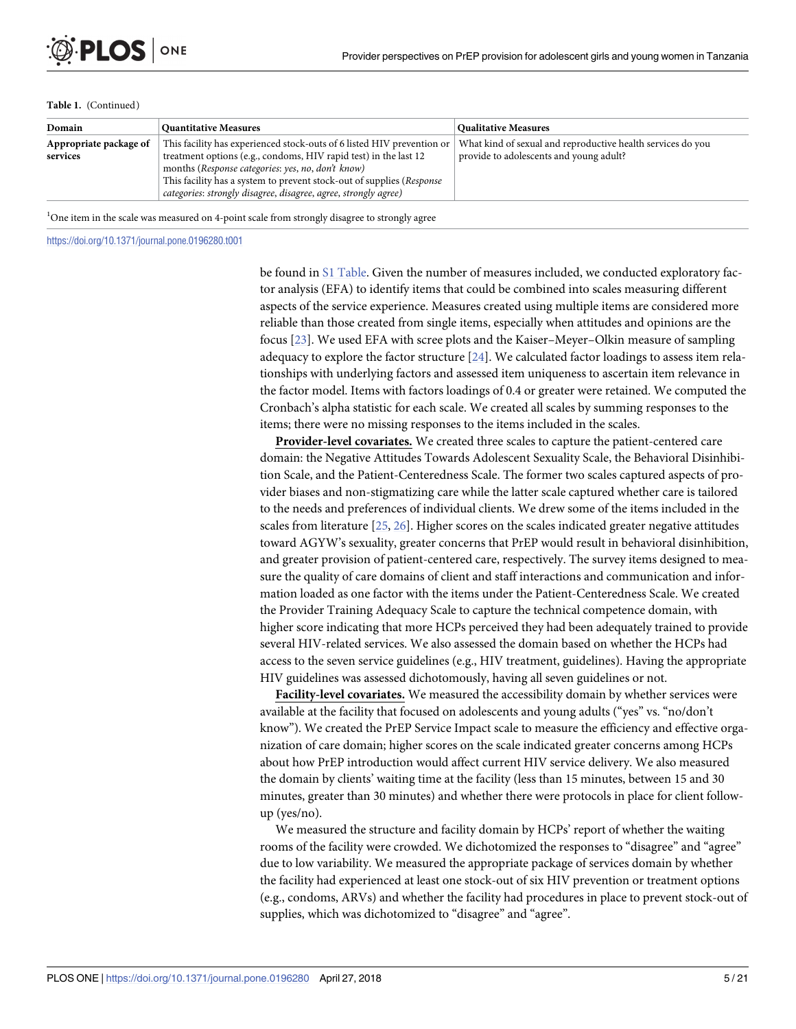#### <span id="page-4-0"></span>**Table 1.** (Continued)

| Domain                             | <b>Quantitative Measures</b>                                                                                                                                                                                                                                                                                                                | <b>Qualitative Measures</b>                                                                            |
|------------------------------------|---------------------------------------------------------------------------------------------------------------------------------------------------------------------------------------------------------------------------------------------------------------------------------------------------------------------------------------------|--------------------------------------------------------------------------------------------------------|
| Appropriate package of<br>services | This facility has experienced stock-outs of 6 listed HIV prevention or<br>treatment options (e.g., condoms, HIV rapid test) in the last 12<br>months (Response categories: yes, no, don't know)<br>This facility has a system to prevent stock-out of supplies (Response<br>categories: strongly disagree, disagree, agree, strongly agree) | What kind of sexual and reproductive health services do you<br>provide to adolescents and young adult? |

<sup>1</sup>One item in the scale was measured on 4-point scale from strongly disagree to strongly agree

<https://doi.org/10.1371/journal.pone.0196280.t001>

be found in S1 [Table.](#page-17-0) Given the number of measures included, we conducted exploratory factor analysis (EFA) to identify items that could be combined into scales measuring different aspects of the service experience. Measures created using multiple items are considered more reliable than those created from single items, especially when attitudes and opinions are the focus [[23](#page-19-0)]. We used EFA with scree plots and the Kaiser–Meyer–Olkin measure of sampling adequacy to explore the factor structure [\[24\]](#page-19-0). We calculated factor loadings to assess item relationships with underlying factors and assessed item uniqueness to ascertain item relevance in the factor model. Items with factors loadings of 0.4 or greater were retained. We computed the Cronbach's alpha statistic for each scale. We created all scales by summing responses to the items; there were no missing responses to the items included in the scales.

**Provider-level covariates.** We created three scales to capture the patient-centered care domain: the Negative Attitudes Towards Adolescent Sexuality Scale, the Behavioral Disinhibition Scale, and the Patient-Centeredness Scale. The former two scales captured aspects of provider biases and non-stigmatizing care while the latter scale captured whether care is tailored to the needs and preferences of individual clients. We drew some of the items included in the scales from literature [[25](#page-19-0), [26](#page-19-0)]. Higher scores on the scales indicated greater negative attitudes toward AGYW's sexuality, greater concerns that PrEP would result in behavioral disinhibition, and greater provision of patient-centered care, respectively. The survey items designed to measure the quality of care domains of client and staff interactions and communication and information loaded as one factor with the items under the Patient-Centeredness Scale. We created the Provider Training Adequacy Scale to capture the technical competence domain, with higher score indicating that more HCPs perceived they had been adequately trained to provide several HIV-related services. We also assessed the domain based on whether the HCPs had access to the seven service guidelines (e.g., HIV treatment, guidelines). Having the appropriate HIV guidelines was assessed dichotomously, having all seven guidelines or not.

**Facility-level covariates.** We measured the accessibility domain by whether services were available at the facility that focused on adolescents and young adults ("yes" vs. "no/don't know"). We created the PrEP Service Impact scale to measure the efficiency and effective organization of care domain; higher scores on the scale indicated greater concerns among HCPs about how PrEP introduction would affect current HIV service delivery. We also measured the domain by clients' waiting time at the facility (less than 15 minutes, between 15 and 30 minutes, greater than 30 minutes) and whether there were protocols in place for client followup (yes/no).

We measured the structure and facility domain by HCPs' report of whether the waiting rooms of the facility were crowded. We dichotomized the responses to "disagree" and "agree" due to low variability. We measured the appropriate package of services domain by whether the facility had experienced at least one stock-out of six HIV prevention or treatment options (e.g., condoms, ARVs) and whether the facility had procedures in place to prevent stock-out of supplies, which was dichotomized to "disagree" and "agree".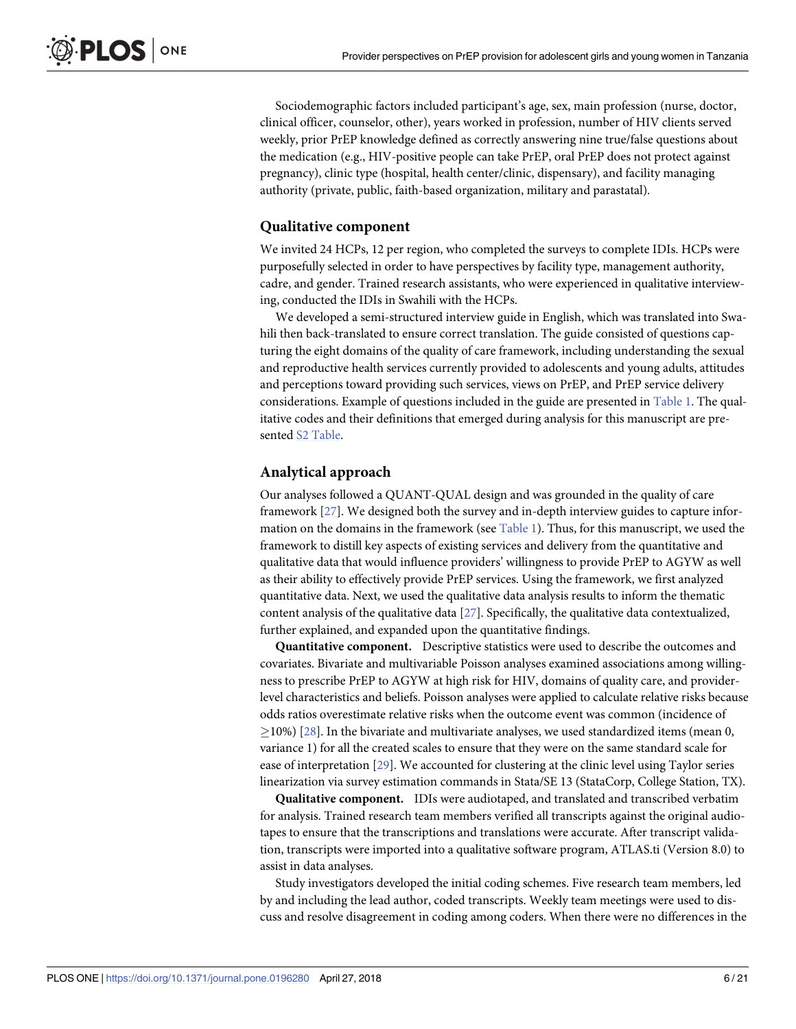<span id="page-5-0"></span>Sociodemographic factors included participant's age, sex, main profession (nurse, doctor, clinical officer, counselor, other), years worked in profession, number of HIV clients served weekly, prior PrEP knowledge defined as correctly answering nine true/false questions about the medication (e.g., HIV-positive people can take PrEP, oral PrEP does not protect against pregnancy), clinic type (hospital, health center/clinic, dispensary), and facility managing authority (private, public, faith-based organization, military and parastatal).

#### **Qualitative component**

We invited 24 HCPs, 12 per region, who completed the surveys to complete IDIs. HCPs were purposefully selected in order to have perspectives by facility type, management authority, cadre, and gender. Trained research assistants, who were experienced in qualitative interviewing, conducted the IDIs in Swahili with the HCPs.

We developed a semi-structured interview guide in English, which was translated into Swahili then back-translated to ensure correct translation. The guide consisted of questions capturing the eight domains of the quality of care framework, including understanding the sexual and reproductive health services currently provided to adolescents and young adults, attitudes and perceptions toward providing such services, views on PrEP, and PrEP service delivery considerations. Example of questions included in the guide are presented in [Table](#page-3-0) 1. The qualitative codes and their definitions that emerged during analysis for this manuscript are presented S2 [Table.](#page-17-0)

#### **Analytical approach**

Our analyses followed a QUANT-QUAL design and was grounded in the quality of care framework [[27](#page-19-0)]. We designed both the survey and in-depth interview guides to capture infor-mation on the domains in the framework (see [Table](#page-3-0) 1). Thus, for this manuscript, we used the framework to distill key aspects of existing services and delivery from the quantitative and qualitative data that would influence providers' willingness to provide PrEP to AGYW as well as their ability to effectively provide PrEP services. Using the framework, we first analyzed quantitative data. Next, we used the qualitative data analysis results to inform the thematic content analysis of the qualitative data [\[27\]](#page-19-0). Specifically, the qualitative data contextualized, further explained, and expanded upon the quantitative findings.

**Quantitative component.** Descriptive statistics were used to describe the outcomes and covariates. Bivariate and multivariable Poisson analyses examined associations among willingness to prescribe PrEP to AGYW at high risk for HIV, domains of quality care, and providerlevel characteristics and beliefs. Poisson analyses were applied to calculate relative risks because odds ratios overestimate relative risks when the outcome event was common (incidence of  $\geq$ 10%) [[28](#page-19-0)]. In the bivariate and multivariate analyses, we used standardized items (mean 0, variance 1) for all the created scales to ensure that they were on the same standard scale for ease of interpretation [\[29\]](#page-19-0). We accounted for clustering at the clinic level using Taylor series linearization via survey estimation commands in Stata/SE 13 (StataCorp, College Station, TX).

**Qualitative component.** IDIs were audiotaped, and translated and transcribed verbatim for analysis. Trained research team members verified all transcripts against the original audiotapes to ensure that the transcriptions and translations were accurate. After transcript validation, transcripts were imported into a qualitative software program, ATLAS.ti (Version 8.0) to assist in data analyses.

Study investigators developed the initial coding schemes. Five research team members, led by and including the lead author, coded transcripts. Weekly team meetings were used to discuss and resolve disagreement in coding among coders. When there were no differences in the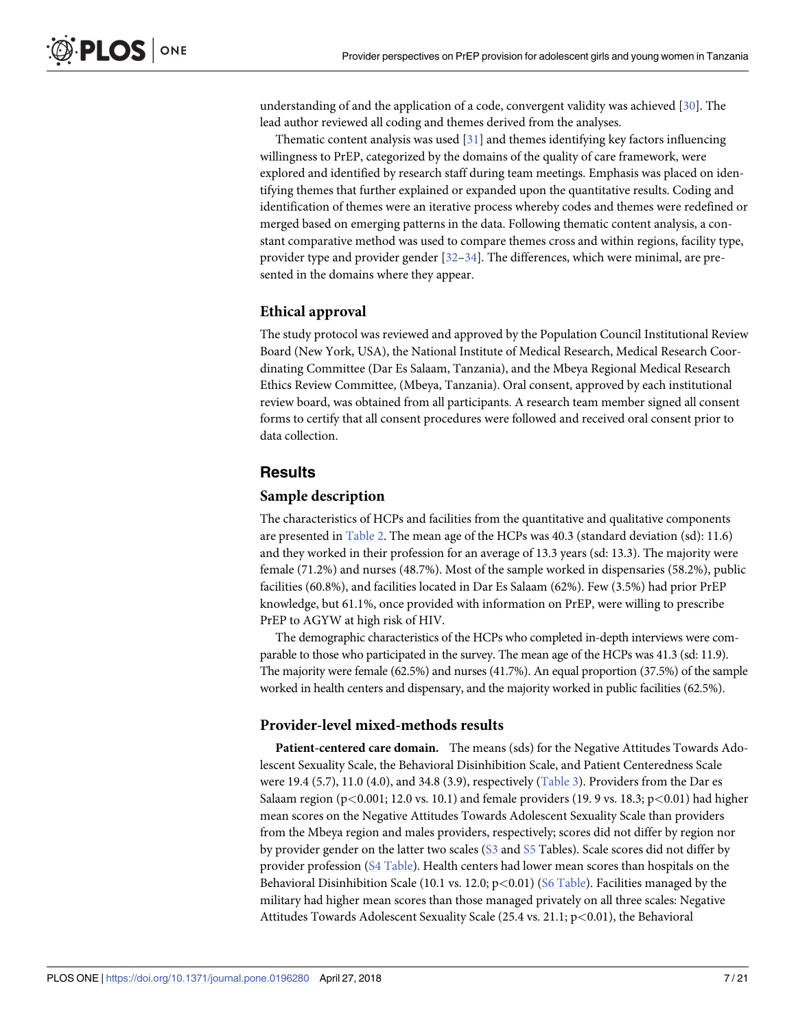<span id="page-6-0"></span>understanding of and the application of a code, convergent validity was achieved [[30](#page-19-0)]. The lead author reviewed all coding and themes derived from the analyses.

Thematic content analysis was used [\[31\]](#page-19-0) and themes identifying key factors influencing willingness to PrEP, categorized by the domains of the quality of care framework, were explored and identified by research staff during team meetings. Emphasis was placed on identifying themes that further explained or expanded upon the quantitative results. Coding and identification of themes were an iterative process whereby codes and themes were redefined or merged based on emerging patterns in the data. Following thematic content analysis, a constant comparative method was used to compare themes cross and within regions, facility type, provider type and provider gender [[32](#page-19-0)–[34\]](#page-19-0). The differences, which were minimal, are presented in the domains where they appear.

## **Ethical approval**

The study protocol was reviewed and approved by the Population Council Institutional Review Board (New York, USA), the National Institute of Medical Research, Medical Research Coordinating Committee (Dar Es Salaam, Tanzania), and the Mbeya Regional Medical Research Ethics Review Committee, (Mbeya, Tanzania). Oral consent, approved by each institutional review board, was obtained from all participants. A research team member signed all consent forms to certify that all consent procedures were followed and received oral consent prior to data collection.

## **Results**

## **Sample description**

The characteristics of HCPs and facilities from the quantitative and qualitative components are presented in [Table](#page-7-0) 2. The mean age of the HCPs was 40.3 (standard deviation (sd): 11.6) and they worked in their profession for an average of 13.3 years (sd: 13.3). The majority were female (71.2%) and nurses (48.7%). Most of the sample worked in dispensaries (58.2%), public facilities (60.8%), and facilities located in Dar Es Salaam (62%). Few (3.5%) had prior PrEP knowledge, but 61.1%, once provided with information on PrEP, were willing to prescribe PrEP to AGYW at high risk of HIV.

The demographic characteristics of the HCPs who completed in-depth interviews were comparable to those who participated in the survey. The mean age of the HCPs was 41.3 (sd: 11.9). The majority were female (62.5%) and nurses (41.7%). An equal proportion (37.5%) of the sample worked in health centers and dispensary, and the majority worked in public facilities (62.5%).

## **Provider-level mixed-methods results**

**Patient-centered care domain.** The means (sds) for the Negative Attitudes Towards Adolescent Sexuality Scale, the Behavioral Disinhibition Scale, and Patient Centeredness Scale were 19.4 (5.7), 11.0 (4.0), and 34.8 (3.9), respectively [\(Table](#page-8-0) 3). Providers from the Dar es Salaam region (p*<*0.001; 12.0 vs. 10.1) and female providers (19. 9 vs. 18.3; p*<*0.01) had higher mean scores on the Negative Attitudes Towards Adolescent Sexuality Scale than providers from the Mbeya region and males providers, respectively; scores did not differ by region nor by provider gender on the latter two scales ([S3](#page-17-0) and [S5](#page-17-0) Tables). Scale scores did not differ by provider profession (S4 [Table\)](#page-17-0). Health centers had lower mean scores than hospitals on the Behavioral Disinhibition Scale (10.1 vs. 12.0; p*<*0.01) (S6 [Table\)](#page-17-0). Facilities managed by the military had higher mean scores than those managed privately on all three scales: Negative Attitudes Towards Adolescent Sexuality Scale (25.4 vs. 21.1; p*<*0.01), the Behavioral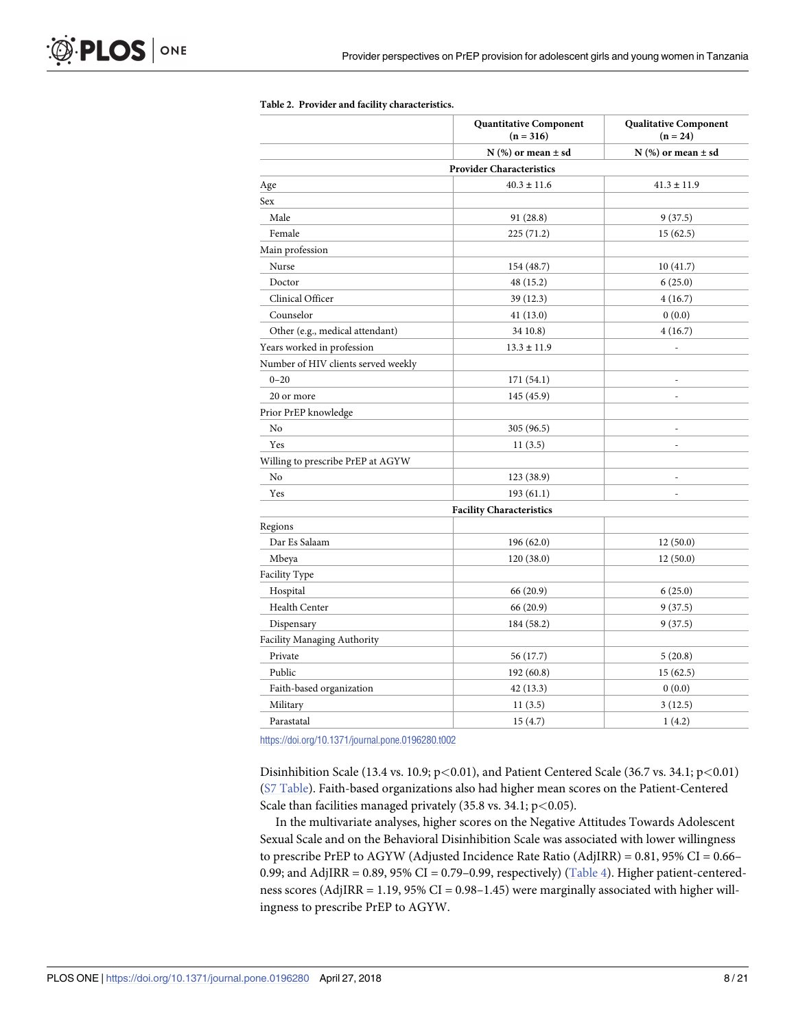|                                     | <b>Quantitative Component</b><br>$(n = 316)$ | <b>Qualitative Component</b><br>$(n = 24)$ |
|-------------------------------------|----------------------------------------------|--------------------------------------------|
|                                     | $N$ (%) or mean $\pm$ sd                     | $N$ (%) or mean $\pm$ sd                   |
|                                     | <b>Provider Characteristics</b>              |                                            |
| Age                                 | $40.3 \pm 11.6$                              | $41.3 \pm 11.9$                            |
| Sex                                 |                                              |                                            |
| Male                                | 91 (28.8)                                    | 9(37.5)                                    |
| Female                              | 225(71.2)                                    | 15(62.5)                                   |
| Main profession                     |                                              |                                            |
| Nurse                               | 154 (48.7)                                   | 10(41.7)                                   |
| Doctor                              | 48 (15.2)                                    | 6(25.0)                                    |
| Clinical Officer                    | 39 (12.3)                                    | 4(16.7)                                    |
| Counselor                           | 41 (13.0)                                    | 0(0.0)                                     |
| Other (e.g., medical attendant)     | 34 10.8)                                     | 4(16.7)                                    |
| Years worked in profession          | $13.3 \pm 11.9$                              |                                            |
| Number of HIV clients served weekly |                                              |                                            |
| $0 - 20$                            | 171(54.1)                                    | L,                                         |
| 20 or more                          | 145 (45.9)                                   | L.                                         |
| Prior PrEP knowledge                |                                              |                                            |
| No                                  | 305 (96.5)                                   | $\overline{\phantom{m}}$                   |
| Yes                                 | 11(3.5)                                      | L,                                         |
| Willing to prescribe PrEP at AGYW   |                                              |                                            |
| No                                  | 123(38.9)                                    | $\overline{a}$                             |
| Yes                                 | 193(61.1)                                    | L,                                         |
|                                     | <b>Facility Characteristics</b>              |                                            |
| Regions                             |                                              |                                            |
| Dar Es Salaam                       | 196 (62.0)                                   | 12(50.0)                                   |
| Mbeya                               | 120(38.0)                                    | 12(50.0)                                   |
| Facility Type                       |                                              |                                            |
| Hospital                            | 66 (20.9)                                    | 6(25.0)                                    |
| Health Center                       | 66 (20.9)                                    | 9(37.5)                                    |
| Dispensary                          | 184 (58.2)                                   | 9(37.5)                                    |
| Facility Managing Authority         |                                              |                                            |
| Private                             | 56 (17.7)                                    | 5(20.8)                                    |
| Public                              | 192(60.8)                                    | 15(62.5)                                   |
| Faith-based organization            | 42 (13.3)                                    | 0(0.0)                                     |
| Military                            | 11(3.5)                                      | 3(12.5)                                    |
| Parastatal                          | 15(4.7)                                      | 1(4.2)                                     |

#### <span id="page-7-0"></span>**[Table](#page-6-0) 2. Provider and facility characteristics.**

<https://doi.org/10.1371/journal.pone.0196280.t002>

Disinhibition Scale (13.4 vs. 10.9; p*<*0.01), and Patient Centered Scale (36.7 vs. 34.1; p*<*0.01) (S7 [Table](#page-17-0)). Faith-based organizations also had higher mean scores on the Patient-Centered Scale than facilities managed privately (35.8 vs. 34.1; p*<*0.05).

In the multivariate analyses, higher scores on the Negative Attitudes Towards Adolescent Sexual Scale and on the Behavioral Disinhibition Scale was associated with lower willingness to prescribe PrEP to AGYW (Adjusted Incidence Rate Ratio (AdjIRR) = 0.81, 95% CI = 0.66– 0.99; and AdjIRR = 0.89, 95% CI = 0.79–0.99, respectively) ([Table](#page-10-0) 4). Higher patient-centeredness scores (AdjIRR = 1.19, 95% CI = 0.98–1.45) were marginally associated with higher willingness to prescribe PrEP to AGYW.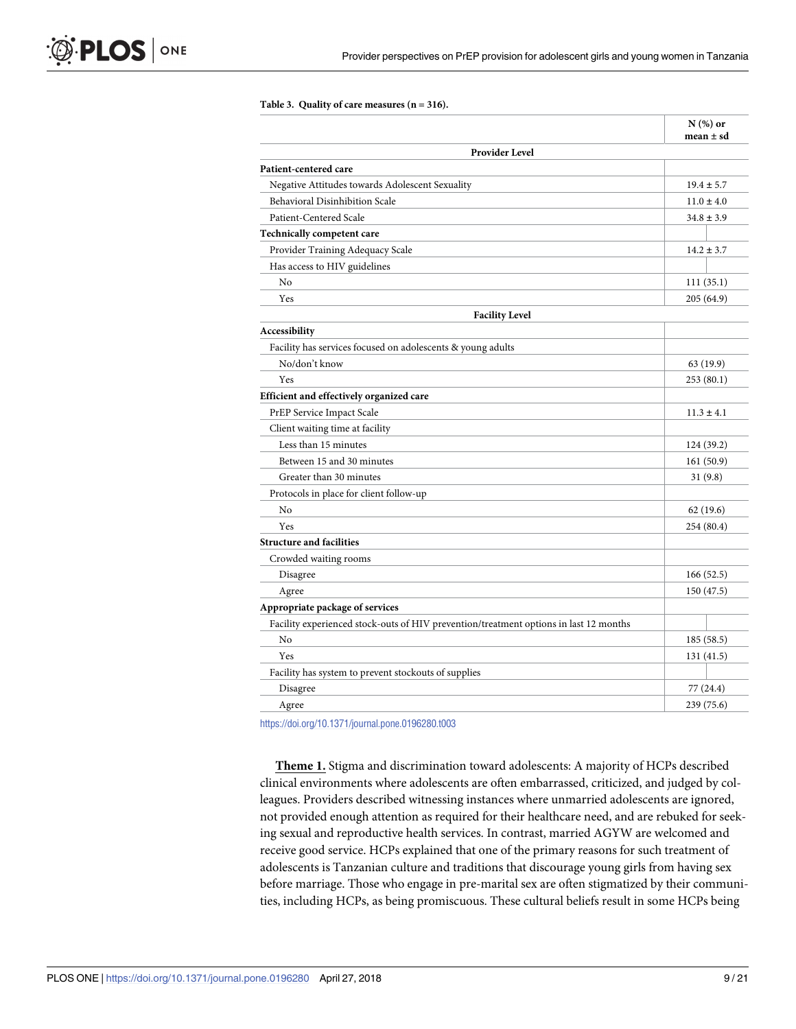#### <span id="page-8-0"></span>**[Table](#page-6-0) 3. Quality of care measures (n = 316).**

|                                                                                       | $N$ (%) or<br>$mean \pm sd$ |
|---------------------------------------------------------------------------------------|-----------------------------|
| <b>Provider Level</b>                                                                 |                             |
| Patient-centered care                                                                 |                             |
| Negative Attitudes towards Adolescent Sexuality                                       | $19.4 \pm 5.7$              |
| <b>Behavioral Disinhibition Scale</b>                                                 | $11.0 \pm 4.0$              |
| Patient-Centered Scale                                                                | $34.8 \pm 3.9$              |
| <b>Technically competent care</b>                                                     |                             |
| Provider Training Adequacy Scale                                                      | $14.2 \pm 3.7$              |
| Has access to HIV guidelines                                                          |                             |
| No                                                                                    | 111(35.1)                   |
| Yes                                                                                   | 205 (64.9)                  |
| <b>Facility Level</b>                                                                 |                             |
| Accessibility                                                                         |                             |
| Facility has services focused on adolescents & young adults                           |                             |
| No/don't know                                                                         | 63 (19.9)                   |
| Yes                                                                                   | 253(80.1)                   |
| Efficient and effectively organized care                                              |                             |
| PrEP Service Impact Scale                                                             | $11.3 \pm 4.1$              |
| Client waiting time at facility                                                       |                             |
| Less than 15 minutes                                                                  | 124 (39.2)                  |
| Between 15 and 30 minutes                                                             | 161(50.9)                   |
| Greater than 30 minutes                                                               | 31(9.8)                     |
| Protocols in place for client follow-up                                               |                             |
| N <sub>0</sub>                                                                        | 62(19.6)                    |
| <b>Yes</b>                                                                            | 254 (80.4)                  |
| <b>Structure and facilities</b>                                                       |                             |
| Crowded waiting rooms                                                                 |                             |
| Disagree                                                                              | 166(52.5)                   |
| Agree                                                                                 | 150(47.5)                   |
| Appropriate package of services                                                       |                             |
| Facility experienced stock-outs of HIV prevention/treatment options in last 12 months |                             |
| N <sub>0</sub>                                                                        | 185(58.5)                   |
| Yes                                                                                   | 131(41.5)                   |
| Facility has system to prevent stockouts of supplies                                  |                             |
| Disagree                                                                              | 77 (24.4)                   |
| Agree                                                                                 | 239 (75.6)                  |

<https://doi.org/10.1371/journal.pone.0196280.t003>

**Theme 1.** Stigma and discrimination toward adolescents: A majority of HCPs described clinical environments where adolescents are often embarrassed, criticized, and judged by colleagues. Providers described witnessing instances where unmarried adolescents are ignored, not provided enough attention as required for their healthcare need, and are rebuked for seeking sexual and reproductive health services. In contrast, married AGYW are welcomed and receive good service. HCPs explained that one of the primary reasons for such treatment of adolescents is Tanzanian culture and traditions that discourage young girls from having sex before marriage. Those who engage in pre-marital sex are often stigmatized by their communities, including HCPs, as being promiscuous. These cultural beliefs result in some HCPs being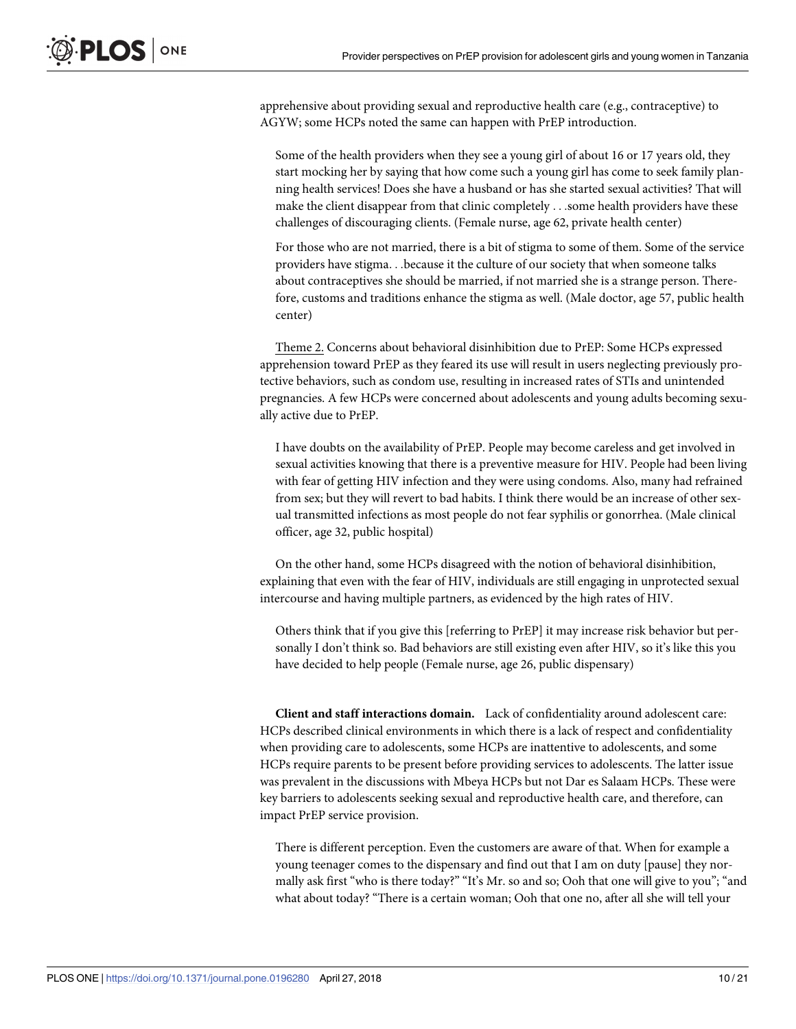apprehensive about providing sexual and reproductive health care (e.g., contraceptive) to AGYW; some HCPs noted the same can happen with PrEP introduction.

Some of the health providers when they see a young girl of about 16 or 17 years old, they start mocking her by saying that how come such a young girl has come to seek family planning health services! Does she have a husband or has she started sexual activities? That will make the client disappear from that clinic completely . . .some health providers have these challenges of discouraging clients. (Female nurse, age 62, private health center)

For those who are not married, there is a bit of stigma to some of them. Some of the service providers have stigma. . .because it the culture of our society that when someone talks about contraceptives she should be married, if not married she is a strange person. Therefore, customs and traditions enhance the stigma as well. (Male doctor, age 57, public health center)

Theme 2. Concerns about behavioral disinhibition due to PrEP: Some HCPs expressed apprehension toward PrEP as they feared its use will result in users neglecting previously protective behaviors, such as condom use, resulting in increased rates of STIs and unintended pregnancies. A few HCPs were concerned about adolescents and young adults becoming sexually active due to PrEP.

I have doubts on the availability of PrEP. People may become careless and get involved in sexual activities knowing that there is a preventive measure for HIV. People had been living with fear of getting HIV infection and they were using condoms. Also, many had refrained from sex; but they will revert to bad habits. I think there would be an increase of other sexual transmitted infections as most people do not fear syphilis or gonorrhea. (Male clinical officer, age 32, public hospital)

On the other hand, some HCPs disagreed with the notion of behavioral disinhibition, explaining that even with the fear of HIV, individuals are still engaging in unprotected sexual intercourse and having multiple partners, as evidenced by the high rates of HIV.

Others think that if you give this [referring to PrEP] it may increase risk behavior but personally I don't think so. Bad behaviors are still existing even after HIV, so it's like this you have decided to help people (Female nurse, age 26, public dispensary)

**Client and staff interactions domain.** Lack of confidentiality around adolescent care: HCPs described clinical environments in which there is a lack of respect and confidentiality when providing care to adolescents, some HCPs are inattentive to adolescents, and some HCPs require parents to be present before providing services to adolescents. The latter issue was prevalent in the discussions with Mbeya HCPs but not Dar es Salaam HCPs. These were key barriers to adolescents seeking sexual and reproductive health care, and therefore, can impact PrEP service provision.

There is different perception. Even the customers are aware of that. When for example a young teenager comes to the dispensary and find out that I am on duty [pause] they normally ask first "who is there today?" "It's Mr. so and so; Ooh that one will give to you"; "and what about today? "There is a certain woman; Ooh that one no, after all she will tell your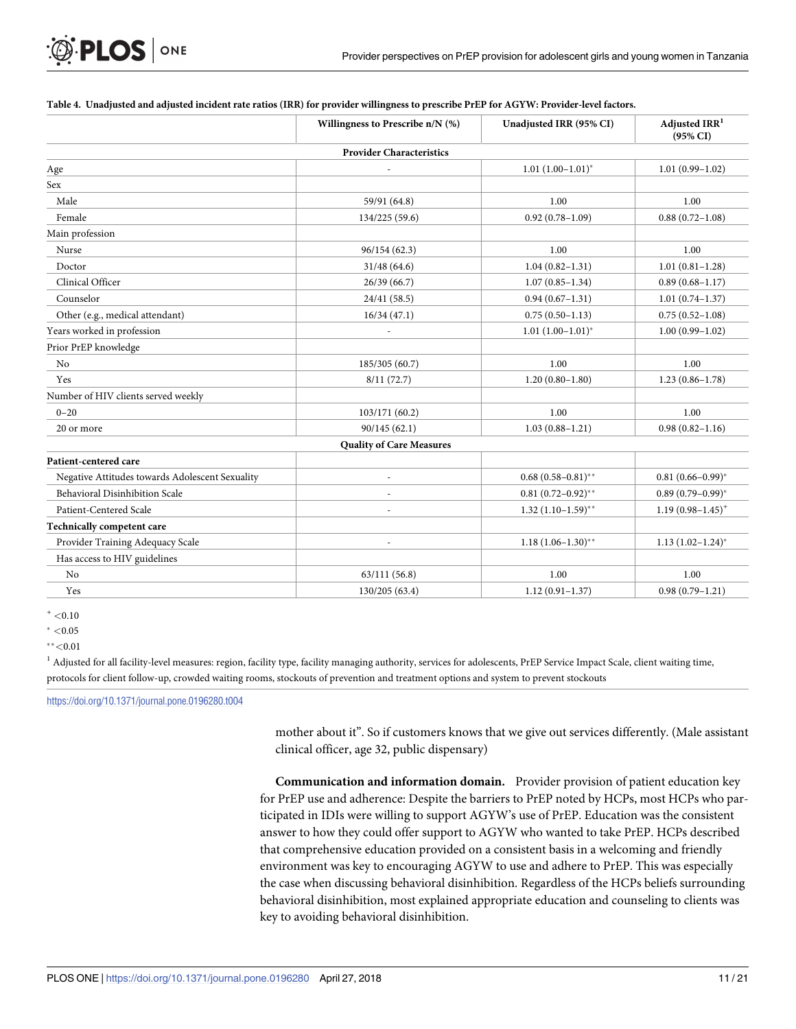<span id="page-10-0"></span>

|  | Table 4. Unadjusted and adjusted incident rate ratios (IRR) for provider willingness to prescribe PrEP for AGYW: Provider-level factors. |  |  |  |
|--|------------------------------------------------------------------------------------------------------------------------------------------|--|--|--|
|  |                                                                                                                                          |  |  |  |

|                                                 | Willingness to Prescribe n/N (%) | Unadjusted IRR (95% CI) | Adjusted IRR <sup>1</sup><br>(95% CI) |
|-------------------------------------------------|----------------------------------|-------------------------|---------------------------------------|
|                                                 | <b>Provider Characteristics</b>  |                         |                                       |
| Age                                             |                                  | $1.01(1.00-1.01)^*$     | $1.01(0.99 - 1.02)$                   |
| Sex                                             |                                  |                         |                                       |
| Male                                            | 59/91 (64.8)                     | 1.00                    | 1.00                                  |
| Female                                          | 134/225 (59.6)                   | $0.92(0.78 - 1.09)$     | $0.88(0.72 - 1.08)$                   |
| Main profession                                 |                                  |                         |                                       |
| Nurse                                           | 96/154 (62.3)                    | 1.00                    | 1.00                                  |
| Doctor                                          | 31/48 (64.6)                     | $1.04(0.82 - 1.31)$     | $1.01(0.81 - 1.28)$                   |
| Clinical Officer                                | 26/39 (66.7)                     | $1.07(0.85-1.34)$       | $0.89(0.68 - 1.17)$                   |
| Counselor                                       | 24/41 (58.5)                     | $0.94(0.67-1.31)$       | $1.01(0.74 - 1.37)$                   |
| Other (e.g., medical attendant)                 | 16/34(47.1)                      | $0.75(0.50-1.13)$       | $0.75(0.52 - 1.08)$                   |
| Years worked in profession                      |                                  | $1.01(1.00-1.01)^*$     | $1.00(0.99 - 1.02)$                   |
| Prior PrEP knowledge                            |                                  |                         |                                       |
| N <sub>o</sub>                                  | 185/305 (60.7)                   | 1.00                    | 1.00                                  |
| Yes                                             | 8/11(72.7)                       | $1.20(0.80-1.80)$       | $1.23(0.86 - 1.78)$                   |
| Number of HIV clients served weekly             |                                  |                         |                                       |
| $0 - 20$                                        | 103/171 (60.2)                   | 1.00                    | 1.00                                  |
| 20 or more                                      | 90/145(62.1)                     | $1.03(0.88 - 1.21)$     | $0.98(0.82 - 1.16)$                   |
|                                                 | <b>Quality of Care Measures</b>  |                         |                                       |
| Patient-centered care                           |                                  |                         |                                       |
| Negative Attitudes towards Adolescent Sexuality | $\overline{a}$                   | $0.68(0.58-0.81)$ **    | $0.81(0.66 - 0.99)^{*}$               |
| <b>Behavioral Disinhibition Scale</b>           | ٠                                | $0.81(0.72 - 0.92)$ **  | $0.89(0.79 - 0.99)^{*}$               |
| Patient-Centered Scale                          | $\overline{\phantom{a}}$         | $1.32(1.10-1.59)$ **    | $1.19(0.98 - 1.45)^+$                 |
| Technically competent care                      |                                  |                         |                                       |
| Provider Training Adequacy Scale                | $\overline{\phantom{a}}$         | $1.18(1.06-1.30)$ **    | $1.13(1.02 - 1.24)^{*}$               |
| Has access to HIV guidelines                    |                                  |                         |                                       |
| No                                              | 63/111(56.8)                     | 1.00                    | 1.00                                  |
| Yes                                             | 130/205 (63.4)                   | $1.12(0.91 - 1.37)$     | $0.98(0.79 - 1.21)$                   |

 $+$   $<$  0.10

 $* < 0.05$ 

 $*$ <sup>\*</sup> <0.01

<sup>1</sup> Adjusted for all facility-level measures: region, facility type, facility managing authority, services for adolescents, PrEP Service Impact Scale, client waiting time, protocols for client follow-up, crowded waiting rooms, stockouts of prevention and treatment options and system to prevent stockouts

<https://doi.org/10.1371/journal.pone.0196280.t004>

mother about it". So if customers knows that we give out services differently. (Male assistant clinical officer, age 32, public dispensary)

**Communication and information domain.** Provider provision of patient education key for PrEP use and adherence: Despite the barriers to PrEP noted by HCPs, most HCPs who participated in IDIs were willing to support AGYW's use of PrEP. Education was the consistent answer to how they could offer support to AGYW who wanted to take PrEP. HCPs described that comprehensive education provided on a consistent basis in a welcoming and friendly environment was key to encouraging AGYW to use and adhere to PrEP. This was especially the case when discussing behavioral disinhibition. Regardless of the HCPs beliefs surrounding behavioral disinhibition, most explained appropriate education and counseling to clients was key to avoiding behavioral disinhibition.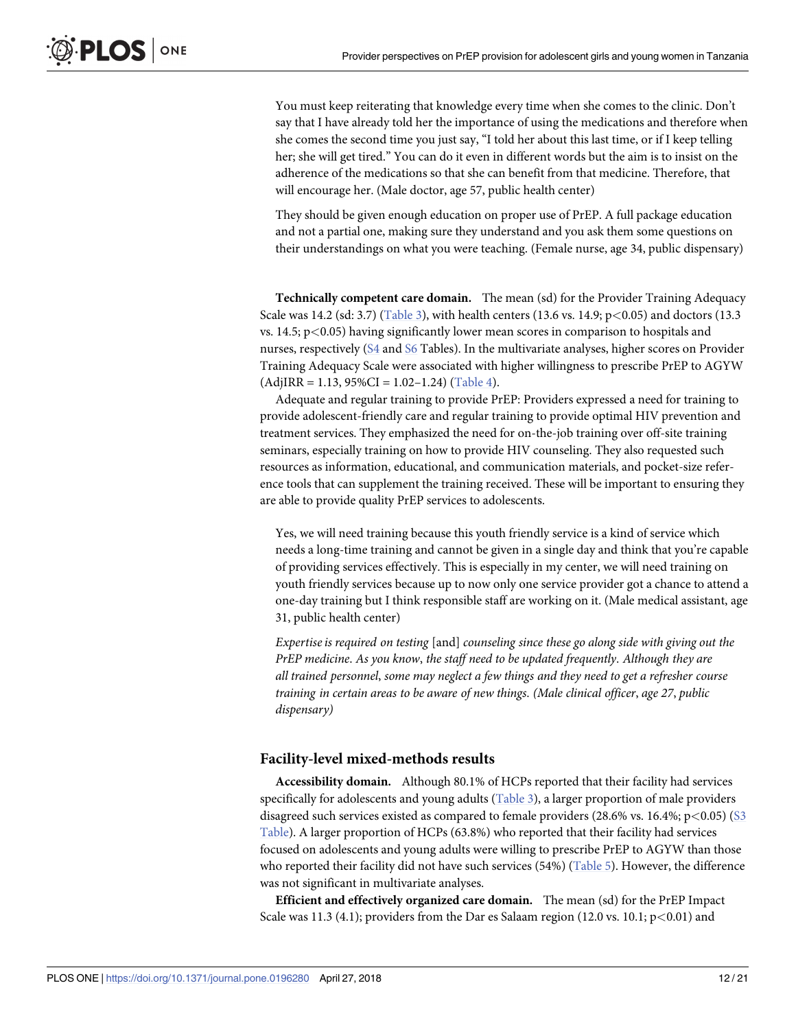<span id="page-11-0"></span>You must keep reiterating that knowledge every time when she comes to the clinic. Don't say that I have already told her the importance of using the medications and therefore when she comes the second time you just say, "I told her about this last time, or if I keep telling her; she will get tired." You can do it even in different words but the aim is to insist on the adherence of the medications so that she can benefit from that medicine. Therefore, that will encourage her. (Male doctor, age 57, public health center)

They should be given enough education on proper use of PrEP. A full package education and not a partial one, making sure they understand and you ask them some questions on their understandings on what you were teaching. (Female nurse, age 34, public dispensary)

**Technically competent care domain.** The mean (sd) for the Provider Training Adequacy Scale was 14.2 (sd: 3.7) [\(Table](#page-8-0) 3), with health centers (13.6 vs. 14.9; p*<*0.05) and doctors (13.3 vs. 14.5; p*<*0.05) having significantly lower mean scores in comparison to hospitals and nurses, respectively ([S4](#page-17-0) and [S6](#page-17-0) Tables). In the multivariate analyses, higher scores on Provider Training Adequacy Scale were associated with higher willingness to prescribe PrEP to AGYW  $(AdJIRR = 1.13, 95\%CI = 1.02-1.24)$  ([Table](#page-10-0) 4).

Adequate and regular training to provide PrEP: Providers expressed a need for training to provide adolescent-friendly care and regular training to provide optimal HIV prevention and treatment services. They emphasized the need for on-the-job training over off-site training seminars, especially training on how to provide HIV counseling. They also requested such resources as information, educational, and communication materials, and pocket-size reference tools that can supplement the training received. These will be important to ensuring they are able to provide quality PrEP services to adolescents.

Yes, we will need training because this youth friendly service is a kind of service which needs a long-time training and cannot be given in a single day and think that you're capable of providing services effectively. This is especially in my center, we will need training on youth friendly services because up to now only one service provider got a chance to attend a one-day training but I think responsible staff are working on it. (Male medical assistant, age 31, public health center)

*Expertise is required on testing* [and] *counseling since these go along side with giving out the PrEP medicine*. *As you know*, *the staff need to be updated frequently*. *Although they are all trained personnel*, *some may neglect a few things and they need to get a refresher course training in certain areas to be aware of new things*. *(Male clinical officer*, *age 27*, *public dispensary)*

#### **Facility-level mixed-methods results**

**Accessibility domain.** Although 80.1% of HCPs reported that their facility had services specifically for adolescents and young adults [\(Table](#page-8-0) 3), a larger proportion of male providers disagreed such services existed as compared to female providers (28.6% vs. 16.4%; p*<*0.05) ([S3](#page-17-0) [Table](#page-17-0)). A larger proportion of HCPs (63.8%) who reported that their facility had services focused on adolescents and young adults were willing to prescribe PrEP to AGYW than those who reported their facility did not have such services (54%) ([Table](#page-14-0) 5). However, the difference was not significant in multivariate analyses.

**Efficient and effectively organized care domain.** The mean (sd) for the PrEP Impact Scale was 11.3 (4.1); providers from the Dar es Salaam region (12.0 vs. 10.1; p*<*0.01) and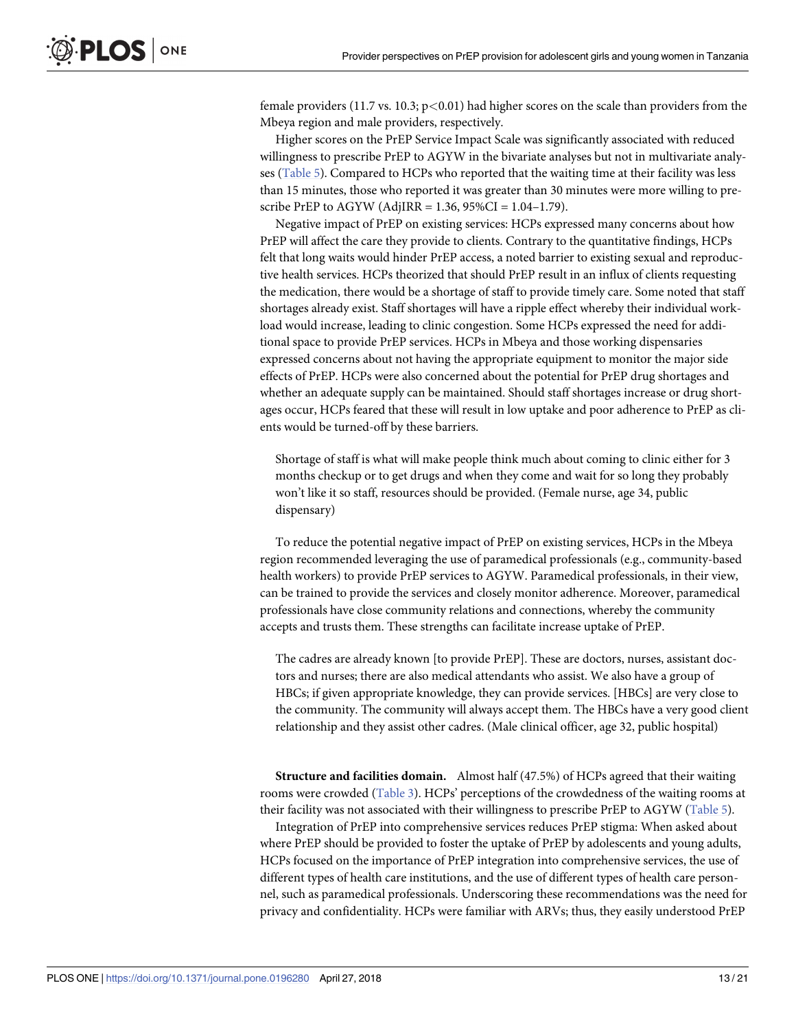female providers (11.7 vs. 10.3; p*<*0.01) had higher scores on the scale than providers from the Mbeya region and male providers, respectively.

Higher scores on the PrEP Service Impact Scale was significantly associated with reduced willingness to prescribe PrEP to AGYW in the bivariate analyses but not in multivariate analyses [\(Table](#page-14-0) 5). Compared to HCPs who reported that the waiting time at their facility was less than 15 minutes, those who reported it was greater than 30 minutes were more willing to prescribe PrEP to AGYW (AdjIRR = 1.36, 95%CI = 1.04–1.79).

Negative impact of PrEP on existing services: HCPs expressed many concerns about how PrEP will affect the care they provide to clients. Contrary to the quantitative findings, HCPs felt that long waits would hinder PrEP access, a noted barrier to existing sexual and reproductive health services. HCPs theorized that should PrEP result in an influx of clients requesting the medication, there would be a shortage of staff to provide timely care. Some noted that staff shortages already exist. Staff shortages will have a ripple effect whereby their individual workload would increase, leading to clinic congestion. Some HCPs expressed the need for additional space to provide PrEP services. HCPs in Mbeya and those working dispensaries expressed concerns about not having the appropriate equipment to monitor the major side effects of PrEP. HCPs were also concerned about the potential for PrEP drug shortages and whether an adequate supply can be maintained. Should staff shortages increase or drug shortages occur, HCPs feared that these will result in low uptake and poor adherence to PrEP as clients would be turned-off by these barriers.

Shortage of staff is what will make people think much about coming to clinic either for 3 months checkup or to get drugs and when they come and wait for so long they probably won't like it so staff, resources should be provided. (Female nurse, age 34, public dispensary)

To reduce the potential negative impact of PrEP on existing services, HCPs in the Mbeya region recommended leveraging the use of paramedical professionals (e.g., community-based health workers) to provide PrEP services to AGYW. Paramedical professionals, in their view, can be trained to provide the services and closely monitor adherence. Moreover, paramedical professionals have close community relations and connections, whereby the community accepts and trusts them. These strengths can facilitate increase uptake of PrEP.

The cadres are already known [to provide PrEP]. These are doctors, nurses, assistant doctors and nurses; there are also medical attendants who assist. We also have a group of HBCs; if given appropriate knowledge, they can provide services. [HBCs] are very close to the community. The community will always accept them. The HBCs have a very good client relationship and they assist other cadres. (Male clinical officer, age 32, public hospital)

**Structure and facilities domain.** Almost half (47.5%) of HCPs agreed that their waiting rooms were crowded [\(Table](#page-8-0) 3). HCPs' perceptions of the crowdedness of the waiting rooms at their facility was not associated with their willingness to prescribe PrEP to AGYW ([Table](#page-14-0) 5).

Integration of PrEP into comprehensive services reduces PrEP stigma: When asked about where PrEP should be provided to foster the uptake of PrEP by adolescents and young adults, HCPs focused on the importance of PrEP integration into comprehensive services, the use of different types of health care institutions, and the use of different types of health care personnel, such as paramedical professionals. Underscoring these recommendations was the need for privacy and confidentiality. HCPs were familiar with ARVs; thus, they easily understood PrEP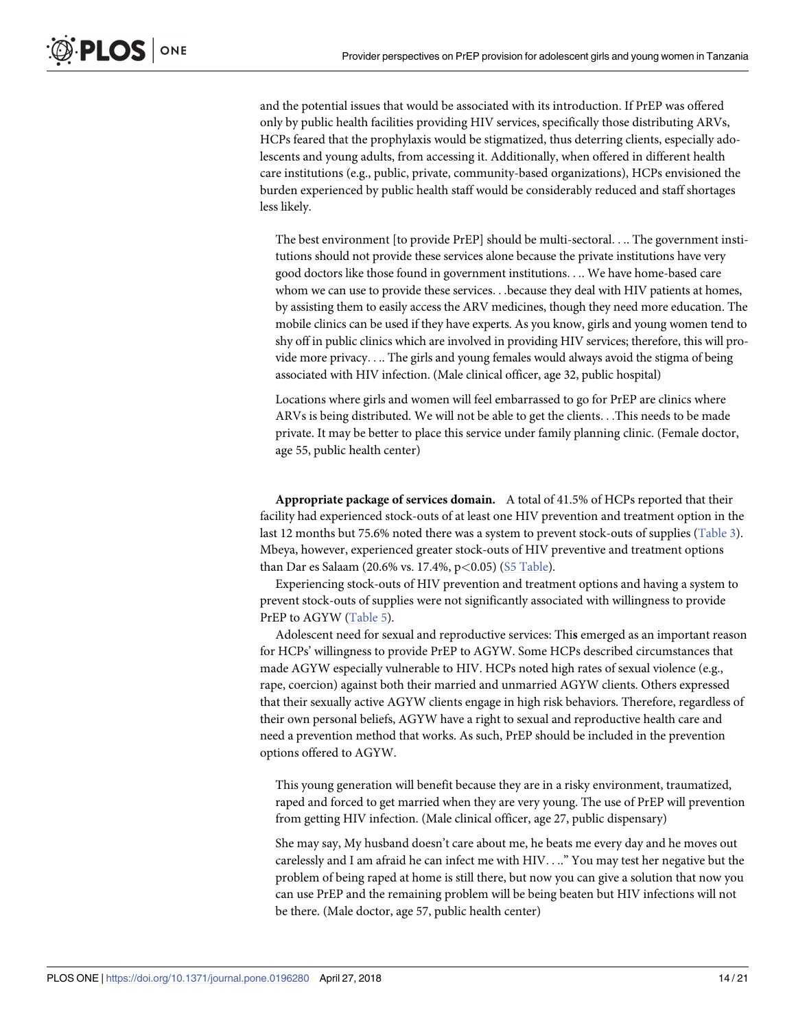and the potential issues that would be associated with its introduction. If PrEP was offered only by public health facilities providing HIV services, specifically those distributing ARVs, HCPs feared that the prophylaxis would be stigmatized, thus deterring clients, especially adolescents and young adults, from accessing it. Additionally, when offered in different health care institutions (e.g., public, private, community-based organizations), HCPs envisioned the burden experienced by public health staff would be considerably reduced and staff shortages less likely.

The best environment [to provide PrEP] should be multi-sectoral. . .. The government institutions should not provide these services alone because the private institutions have very good doctors like those found in government institutions. . .. We have home-based care whom we can use to provide these services. . .because they deal with HIV patients at homes, by assisting them to easily access the ARV medicines, though they need more education. The mobile clinics can be used if they have experts. As you know, girls and young women tend to shy off in public clinics which are involved in providing HIV services; therefore, this will provide more privacy. . .. The girls and young females would always avoid the stigma of being associated with HIV infection. (Male clinical officer, age 32, public hospital)

Locations where girls and women will feel embarrassed to go for PrEP are clinics where ARVs is being distributed. We will not be able to get the clients. . .This needs to be made private. It may be better to place this service under family planning clinic. (Female doctor, age 55, public health center)

**Appropriate package of services domain.** A total of 41.5% of HCPs reported that their facility had experienced stock-outs of at least one HIV prevention and treatment option in the last 12 months but 75.6% noted there was a system to prevent stock-outs of supplies [\(Table](#page-8-0) 3). Mbeya, however, experienced greater stock-outs of HIV preventive and treatment options than Dar es Salaam (20.6% vs. 17.4%, p*<*0.05) (S5 [Table\)](#page-17-0).

Experiencing stock-outs of HIV prevention and treatment options and having a system to prevent stock-outs of supplies were not significantly associated with willingness to provide PrEP to AGYW ([Table](#page-14-0) 5).

Adolescent need for sexual and reproductive services: Thi**s** emerged as an important reason for HCPs' willingness to provide PrEP to AGYW. Some HCPs described circumstances that made AGYW especially vulnerable to HIV. HCPs noted high rates of sexual violence (e.g., rape, coercion) against both their married and unmarried AGYW clients. Others expressed that their sexually active AGYW clients engage in high risk behaviors. Therefore, regardless of their own personal beliefs, AGYW have a right to sexual and reproductive health care and need a prevention method that works. As such, PrEP should be included in the prevention options offered to AGYW.

This young generation will benefit because they are in a risky environment, traumatized, raped and forced to get married when they are very young. The use of PrEP will prevention from getting HIV infection. (Male clinical officer, age 27, public dispensary)

She may say, My husband doesn't care about me, he beats me every day and he moves out carelessly and I am afraid he can infect me with HIV. . .." You may test her negative but the problem of being raped at home is still there, but now you can give a solution that now you can use PrEP and the remaining problem will be being beaten but HIV infections will not be there. (Male doctor, age 57, public health center)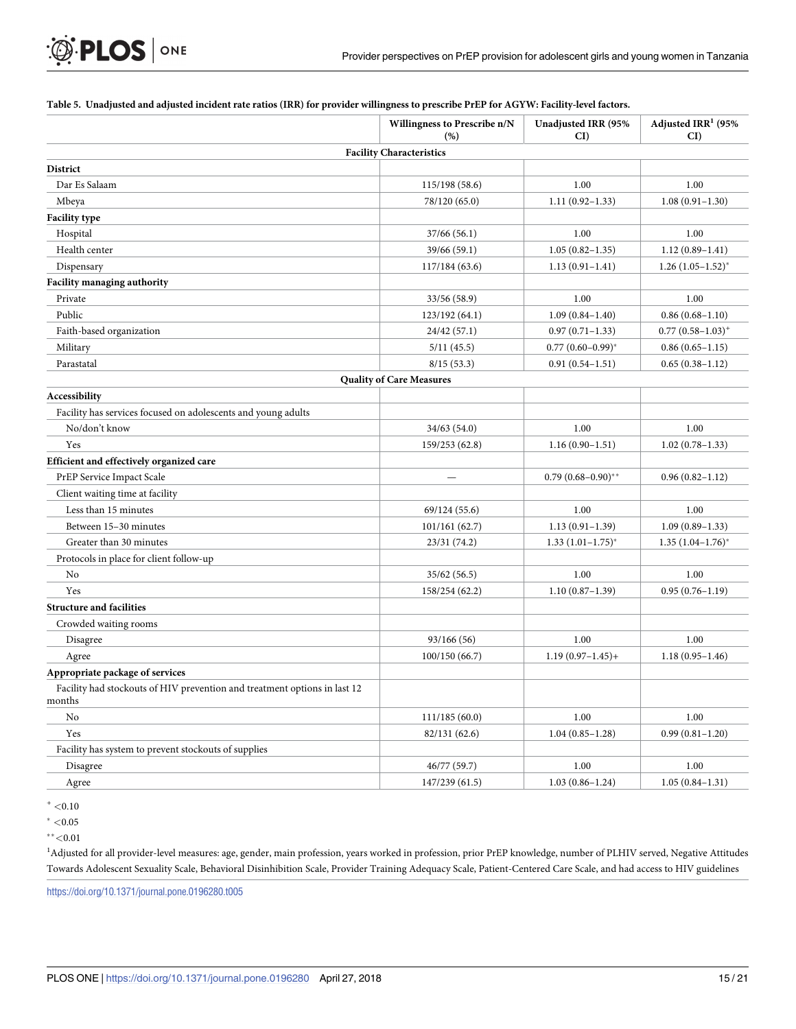#### <span id="page-14-0"></span>[Table](#page-11-0) 5. Unadjusted and adjusted incident rate ratios (IRR) for provider willingness to prescribe PrEP for AGYW: Facility-level factors.

|                                                                                     | Willingness to Prescribe n/N<br>(%) | <b>Unadjusted IRR (95%</b><br>CI) | Adjusted IRR <sup>1</sup> (95%<br>CI) |
|-------------------------------------------------------------------------------------|-------------------------------------|-----------------------------------|---------------------------------------|
|                                                                                     | <b>Facility Characteristics</b>     |                                   |                                       |
| District                                                                            |                                     |                                   |                                       |
| Dar Es Salaam                                                                       | 115/198 (58.6)                      | 1.00                              | 1.00                                  |
| Mbeya                                                                               | 78/120 (65.0)                       | $1.11(0.92 - 1.33)$               | $1.08(0.91-1.30)$                     |
| <b>Facility type</b>                                                                |                                     |                                   |                                       |
| Hospital                                                                            | 37/66 (56.1)                        | 1.00                              | 1.00                                  |
| Health center                                                                       | 39/66 (59.1)                        | $1.05(0.82 - 1.35)$               | $1.12(0.89 - 1.41)$                   |
| Dispensary                                                                          | 117/184 (63.6)                      | $1.13(0.91 - 1.41)$               | $1.26(1.05-1.52)^{*}$                 |
| Facility managing authority                                                         |                                     |                                   |                                       |
| Private                                                                             | 33/56 (58.9)                        | 1.00                              | 1.00                                  |
| Public                                                                              | 123/192 (64.1)                      | $1.09(0.84 - 1.40)$               | $0.86(0.68 - 1.10)$                   |
| Faith-based organization                                                            | 24/42 (57.1)                        | $0.97(0.71 - 1.33)$               | $0.77$ $(0.58-1.03)^+$                |
| Military                                                                            | 5/11(45.5)                          | $0.77(0.60 - 0.99)^{*}$           | $0.86(0.65 - 1.15)$                   |
| Parastatal                                                                          | 8/15(53.3)                          | $0.91(0.54 - 1.51)$               | $0.65(0.38-1.12)$                     |
|                                                                                     | <b>Quality of Care Measures</b>     |                                   |                                       |
| <b>Accessibility</b>                                                                |                                     |                                   |                                       |
| Facility has services focused on adolescents and young adults                       |                                     |                                   |                                       |
| No/don't know                                                                       | 34/63 (54.0)                        | 1.00                              | 1.00                                  |
| Yes                                                                                 | 159/253 (62.8)                      | $1.16(0.90-1.51)$                 | $1.02(0.78 - 1.33)$                   |
| Efficient and effectively organized care                                            |                                     |                                   |                                       |
| PrEP Service Impact Scale                                                           |                                     | $0.79(0.68 - 0.90)$ **            | $0.96(0.82 - 1.12)$                   |
| Client waiting time at facility                                                     |                                     |                                   |                                       |
| Less than 15 minutes                                                                | 69/124 (55.6)                       | 1.00                              | 1.00                                  |
| Between 15-30 minutes                                                               | 101/161 (62.7)                      | $1.13(0.91 - 1.39)$               | $1.09(0.89 - 1.33)$                   |
| Greater than 30 minutes                                                             | 23/31 (74.2)                        | $1.33(1.01-1.75)$ *               | $1.35(1.04-1.76)^{*}$                 |
| Protocols in place for client follow-up                                             |                                     |                                   |                                       |
| No                                                                                  | 35/62 (56.5)                        | 1.00                              | 1.00                                  |
| Yes                                                                                 | 158/254 (62.2)                      | $1.10(0.87-1.39)$                 | $0.95(0.76 - 1.19)$                   |
| <b>Structure and facilities</b>                                                     |                                     |                                   |                                       |
| Crowded waiting rooms                                                               |                                     |                                   |                                       |
| Disagree                                                                            | 93/166 (56)                         | 1.00                              | 1.00                                  |
| Agree                                                                               | 100/150(66.7)                       | $1.19(0.97-1.45)$ +               | $1.18(0.95 - 1.46)$                   |
| Appropriate package of services                                                     |                                     |                                   |                                       |
| Facility had stockouts of HIV prevention and treatment options in last 12<br>months |                                     |                                   |                                       |
| N <sub>0</sub>                                                                      | 111/185(60.0)                       | 1.00                              | 1.00                                  |
| Yes                                                                                 | 82/131 (62.6)                       | $1.04(0.85 - 1.28)$               | $0.99(0.81 - 1.20)$                   |
| Facility has system to prevent stockouts of supplies                                |                                     |                                   |                                       |
| Disagree                                                                            | 46/77 (59.7)                        | 1.00                              | 1.00                                  |
| Agree                                                                               | 147/239 (61.5)                      | $1.03(0.86 - 1.24)$               | $1.05(0.84 - 1.31)$                   |

 $+$   $<$  0.10

 $* < 0.05$ 

 $*$ <sup>\*</sup>  $<$  0.01

<sup>1</sup>Adjusted for all provider-level measures: age, gender, main profession, years worked in profession, prior PrEP knowledge, number of PLHIV served, Negative Attitudes Towards Adolescent Sexuality Scale, Behavioral Disinhibition Scale, Provider Training Adequacy Scale, Patient-Centered Care Scale, and had access to HIV guidelines

<https://doi.org/10.1371/journal.pone.0196280.t005>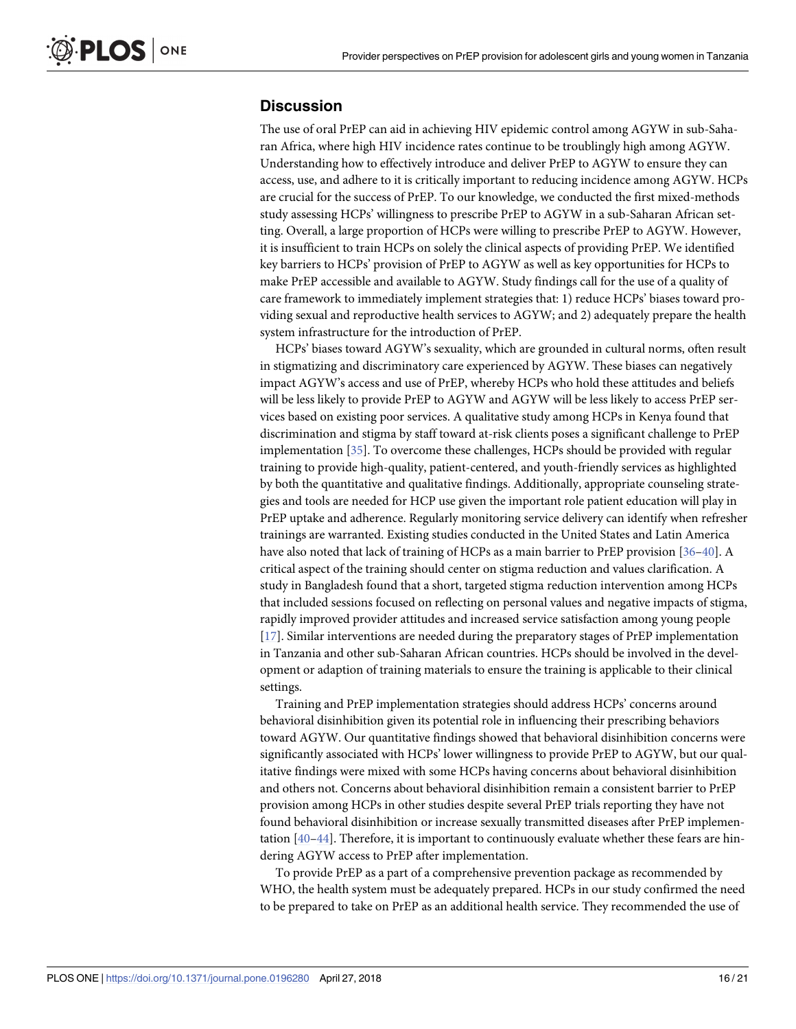## <span id="page-15-0"></span>**Discussion**

The use of oral PrEP can aid in achieving HIV epidemic control among AGYW in sub-Saharan Africa, where high HIV incidence rates continue to be troublingly high among AGYW. Understanding how to effectively introduce and deliver PrEP to AGYW to ensure they can access, use, and adhere to it is critically important to reducing incidence among AGYW. HCPs are crucial for the success of PrEP. To our knowledge, we conducted the first mixed-methods study assessing HCPs' willingness to prescribe PrEP to AGYW in a sub-Saharan African setting. Overall, a large proportion of HCPs were willing to prescribe PrEP to AGYW. However, it is insufficient to train HCPs on solely the clinical aspects of providing PrEP. We identified key barriers to HCPs' provision of PrEP to AGYW as well as key opportunities for HCPs to make PrEP accessible and available to AGYW. Study findings call for the use of a quality of care framework to immediately implement strategies that: 1) reduce HCPs' biases toward providing sexual and reproductive health services to AGYW; and 2) adequately prepare the health system infrastructure for the introduction of PrEP.

HCPs' biases toward AGYW's sexuality, which are grounded in cultural norms, often result in stigmatizing and discriminatory care experienced by AGYW. These biases can negatively impact AGYW's access and use of PrEP, whereby HCPs who hold these attitudes and beliefs will be less likely to provide PrEP to AGYW and AGYW will be less likely to access PrEP services based on existing poor services. A qualitative study among HCPs in Kenya found that discrimination and stigma by staff toward at-risk clients poses a significant challenge to PrEP implementation [[35](#page-19-0)]. To overcome these challenges, HCPs should be provided with regular training to provide high-quality, patient-centered, and youth-friendly services as highlighted by both the quantitative and qualitative findings. Additionally, appropriate counseling strategies and tools are needed for HCP use given the important role patient education will play in PrEP uptake and adherence. Regularly monitoring service delivery can identify when refresher trainings are warranted. Existing studies conducted in the United States and Latin America have also noted that lack of training of HCPs as a main barrier to PrEP provision [[36–40\]](#page-19-0). A critical aspect of the training should center on stigma reduction and values clarification. A study in Bangladesh found that a short, targeted stigma reduction intervention among HCPs that included sessions focused on reflecting on personal values and negative impacts of stigma, rapidly improved provider attitudes and increased service satisfaction among young people [\[17\]](#page-18-0). Similar interventions are needed during the preparatory stages of PrEP implementation in Tanzania and other sub-Saharan African countries. HCPs should be involved in the development or adaption of training materials to ensure the training is applicable to their clinical settings.

Training and PrEP implementation strategies should address HCPs' concerns around behavioral disinhibition given its potential role in influencing their prescribing behaviors toward AGYW. Our quantitative findings showed that behavioral disinhibition concerns were significantly associated with HCPs' lower willingness to provide PrEP to AGYW, but our qualitative findings were mixed with some HCPs having concerns about behavioral disinhibition and others not. Concerns about behavioral disinhibition remain a consistent barrier to PrEP provision among HCPs in other studies despite several PrEP trials reporting they have not found behavioral disinhibition or increase sexually transmitted diseases after PrEP implementation [\[40–](#page-19-0)[44](#page-20-0)]. Therefore, it is important to continuously evaluate whether these fears are hindering AGYW access to PrEP after implementation.

To provide PrEP as a part of a comprehensive prevention package as recommended by WHO, the health system must be adequately prepared. HCPs in our study confirmed the need to be prepared to take on PrEP as an additional health service. They recommended the use of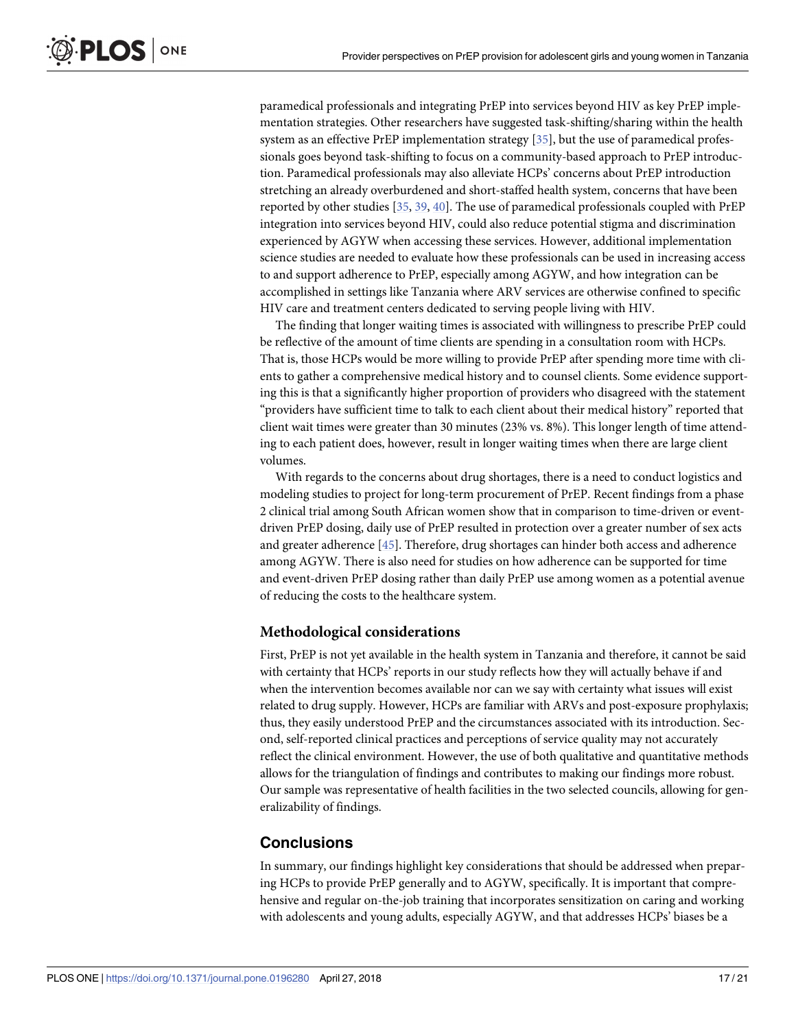<span id="page-16-0"></span>paramedical professionals and integrating PrEP into services beyond HIV as key PrEP implementation strategies. Other researchers have suggested task-shifting/sharing within the health system as an effective PrEP implementation strategy [\[35\]](#page-19-0), but the use of paramedical professionals goes beyond task-shifting to focus on a community-based approach to PrEP introduction. Paramedical professionals may also alleviate HCPs' concerns about PrEP introduction stretching an already overburdened and short-staffed health system, concerns that have been reported by other studies [\[35,](#page-19-0) [39,](#page-19-0) [40\]](#page-19-0). The use of paramedical professionals coupled with PrEP integration into services beyond HIV, could also reduce potential stigma and discrimination experienced by AGYW when accessing these services. However, additional implementation science studies are needed to evaluate how these professionals can be used in increasing access to and support adherence to PrEP, especially among AGYW, and how integration can be accomplished in settings like Tanzania where ARV services are otherwise confined to specific HIV care and treatment centers dedicated to serving people living with HIV.

The finding that longer waiting times is associated with willingness to prescribe PrEP could be reflective of the amount of time clients are spending in a consultation room with HCPs. That is, those HCPs would be more willing to provide PrEP after spending more time with clients to gather a comprehensive medical history and to counsel clients. Some evidence supporting this is that a significantly higher proportion of providers who disagreed with the statement "providers have sufficient time to talk to each client about their medical history" reported that client wait times were greater than 30 minutes (23% vs. 8%). This longer length of time attending to each patient does, however, result in longer waiting times when there are large client volumes.

With regards to the concerns about drug shortages, there is a need to conduct logistics and modeling studies to project for long-term procurement of PrEP. Recent findings from a phase 2 clinical trial among South African women show that in comparison to time-driven or eventdriven PrEP dosing, daily use of PrEP resulted in protection over a greater number of sex acts and greater adherence [\[45\]](#page-20-0). Therefore, drug shortages can hinder both access and adherence among AGYW. There is also need for studies on how adherence can be supported for time and event-driven PrEP dosing rather than daily PrEP use among women as a potential avenue of reducing the costs to the healthcare system.

#### **Methodological considerations**

First, PrEP is not yet available in the health system in Tanzania and therefore, it cannot be said with certainty that HCPs' reports in our study reflects how they will actually behave if and when the intervention becomes available nor can we say with certainty what issues will exist related to drug supply. However, HCPs are familiar with ARVs and post-exposure prophylaxis; thus, they easily understood PrEP and the circumstances associated with its introduction. Second, self-reported clinical practices and perceptions of service quality may not accurately reflect the clinical environment. However, the use of both qualitative and quantitative methods allows for the triangulation of findings and contributes to making our findings more robust. Our sample was representative of health facilities in the two selected councils, allowing for generalizability of findings.

#### **Conclusions**

In summary, our findings highlight key considerations that should be addressed when preparing HCPs to provide PrEP generally and to AGYW, specifically. It is important that comprehensive and regular on-the-job training that incorporates sensitization on caring and working with adolescents and young adults, especially AGYW, and that addresses HCPs' biases be a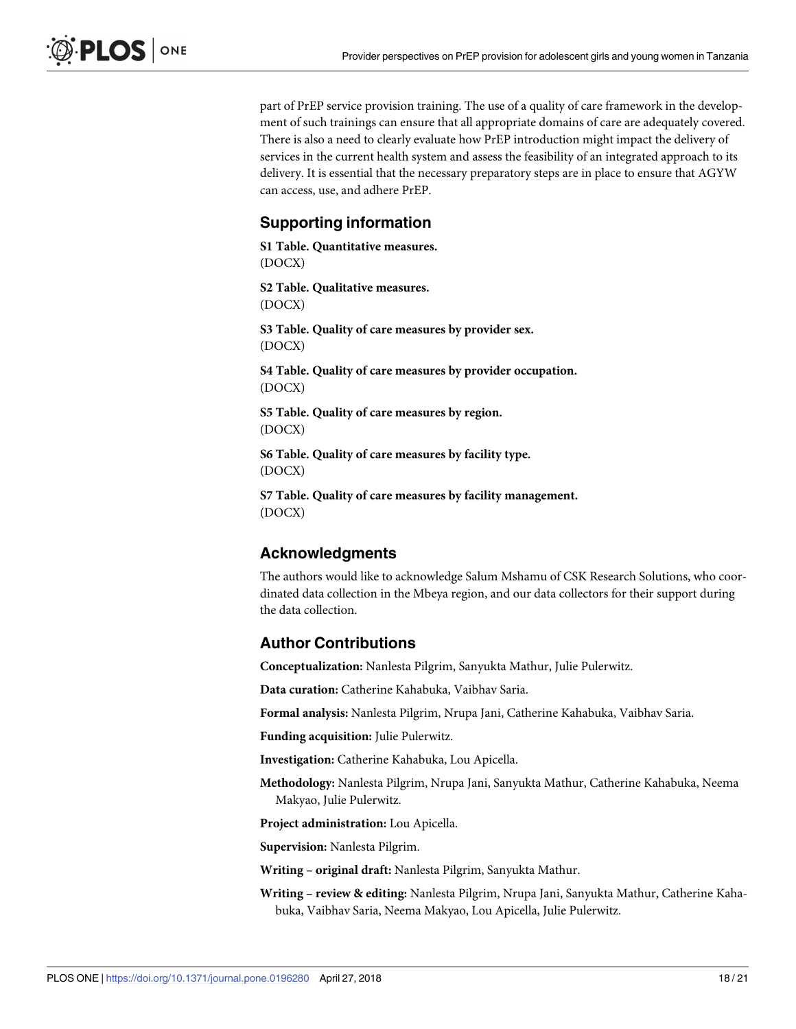<span id="page-17-0"></span>part of PrEP service provision training. The use of a quality of care framework in the development of such trainings can ensure that all appropriate domains of care are adequately covered. There is also a need to clearly evaluate how PrEP introduction might impact the delivery of services in the current health system and assess the feasibility of an integrated approach to its delivery. It is essential that the necessary preparatory steps are in place to ensure that AGYW can access, use, and adhere PrEP.

## **Supporting information**

**S1 [Table.](http://www.plosone.org/article/fetchSingleRepresentation.action?uri=info:doi/10.1371/journal.pone.0196280.s001) Quantitative measures.** (DOCX)

**S2 [Table.](http://www.plosone.org/article/fetchSingleRepresentation.action?uri=info:doi/10.1371/journal.pone.0196280.s002) Qualitative measures.** (DOCX)

**S3 [Table.](http://www.plosone.org/article/fetchSingleRepresentation.action?uri=info:doi/10.1371/journal.pone.0196280.s003) Quality of care measures by provider sex.** (DOCX)

**S4 [Table.](http://www.plosone.org/article/fetchSingleRepresentation.action?uri=info:doi/10.1371/journal.pone.0196280.s004) Quality of care measures by provider occupation.** (DOCX)

**S5 [Table.](http://www.plosone.org/article/fetchSingleRepresentation.action?uri=info:doi/10.1371/journal.pone.0196280.s005) Quality of care measures by region.** (DOCX)

**S6 [Table.](http://www.plosone.org/article/fetchSingleRepresentation.action?uri=info:doi/10.1371/journal.pone.0196280.s006) Quality of care measures by facility type.** (DOCX)

**S7 [Table.](http://www.plosone.org/article/fetchSingleRepresentation.action?uri=info:doi/10.1371/journal.pone.0196280.s007) Quality of care measures by facility management.** (DOCX)

#### **Acknowledgments**

The authors would like to acknowledge Salum Mshamu of CSK Research Solutions, who coordinated data collection in the Mbeya region, and our data collectors for their support during the data collection.

#### **Author Contributions**

**Conceptualization:** Nanlesta Pilgrim, Sanyukta Mathur, Julie Pulerwitz.

**Data curation:** Catherine Kahabuka, Vaibhav Saria.

**Formal analysis:** Nanlesta Pilgrim, Nrupa Jani, Catherine Kahabuka, Vaibhav Saria.

**Funding acquisition:** Julie Pulerwitz.

**Investigation:** Catherine Kahabuka, Lou Apicella.

**Methodology:** Nanlesta Pilgrim, Nrupa Jani, Sanyukta Mathur, Catherine Kahabuka, Neema Makyao, Julie Pulerwitz.

**Project administration:** Lou Apicella.

**Supervision:** Nanlesta Pilgrim.

**Writing – original draft:** Nanlesta Pilgrim, Sanyukta Mathur.

**Writing – review & editing:** Nanlesta Pilgrim, Nrupa Jani, Sanyukta Mathur, Catherine Kahabuka, Vaibhav Saria, Neema Makyao, Lou Apicella, Julie Pulerwitz.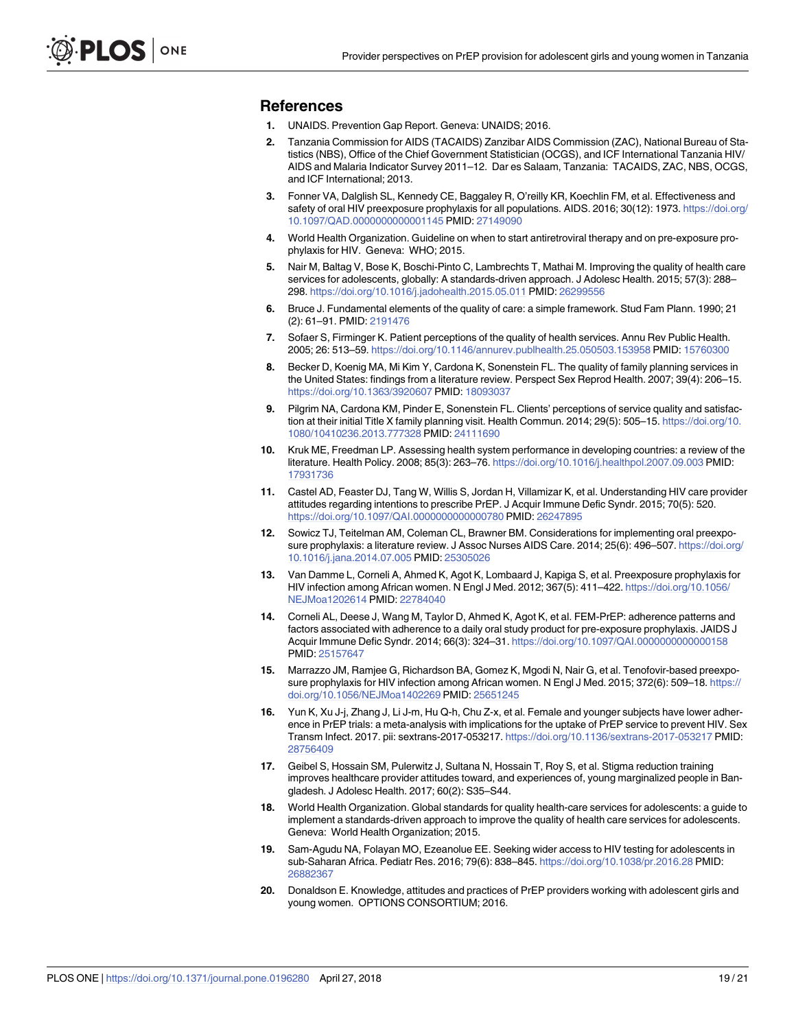#### <span id="page-18-0"></span>**References**

- **[1](#page-1-0).** UNAIDS. Prevention Gap Report. Geneva: UNAIDS; 2016.
- **[2](#page-1-0).** Tanzania Commission for AIDS (TACAIDS) Zanzibar AIDS Commission (ZAC), National Bureau of Statistics (NBS), Office of the Chief Government Statistician (OCGS), and ICF International Tanzania HIV/ AIDS and Malaria Indicator Survey 2011–12. Dar es Salaam, Tanzania: TACAIDS, ZAC, NBS, OCGS, and ICF International; 2013.
- **[3](#page-1-0).** Fonner VA, Dalglish SL, Kennedy CE, Baggaley R, O'reilly KR, Koechlin FM, et al. Effectiveness and safety of oral HIV preexposure prophylaxis for all populations. AIDS. 2016; 30(12): 1973. [https://doi.org/](https://doi.org/10.1097/QAD.0000000000001145) [10.1097/QAD.0000000000001145](https://doi.org/10.1097/QAD.0000000000001145) PMID: [27149090](http://www.ncbi.nlm.nih.gov/pubmed/27149090)
- **[4](#page-1-0).** World Health Organization. Guideline on when to start antiretroviral therapy and on pre-exposure prophylaxis for HIV. Geneva: WHO; 2015.
- **[5](#page-1-0).** Nair M, Baltag V, Bose K, Boschi-Pinto C, Lambrechts T, Mathai M. Improving the quality of health care services for adolescents, globally: A standards-driven approach. J Adolesc Health. 2015; 57(3): 288– 298. <https://doi.org/10.1016/j.jadohealth.2015.05.011> PMID: [26299556](http://www.ncbi.nlm.nih.gov/pubmed/26299556)
- **6.** Bruce J. Fundamental elements of the quality of care: a simple framework. Stud Fam Plann. 1990; 21 (2): 61–91. PMID: [2191476](http://www.ncbi.nlm.nih.gov/pubmed/2191476)
- **7.** Sofaer S, Firminger K. Patient perceptions of the quality of health services. Annu Rev Public Health. 2005; 26: 513–59. <https://doi.org/10.1146/annurev.publhealth.25.050503.153958> PMID: [15760300](http://www.ncbi.nlm.nih.gov/pubmed/15760300)
- **[8](#page-1-0).** Becker D, Koenig MA, Mi Kim Y, Cardona K, Sonenstein FL. The quality of family planning services in the United States: findings from a literature review. Perspect Sex Reprod Health. 2007; 39(4): 206–15. <https://doi.org/10.1363/3920607> PMID: [18093037](http://www.ncbi.nlm.nih.gov/pubmed/18093037)
- **9.** Pilgrim NA, Cardona KM, Pinder E, Sonenstein FL. Clients' perceptions of service quality and satisfaction at their initial Title X family planning visit. Health Commun. 2014; 29(5): 505-15. [https://doi.org/10.](https://doi.org/10.1080/10410236.2013.777328) [1080/10410236.2013.777328](https://doi.org/10.1080/10410236.2013.777328) PMID: [24111690](http://www.ncbi.nlm.nih.gov/pubmed/24111690)
- **[10](#page-1-0).** Kruk ME, Freedman LP. Assessing health system performance in developing countries: a review of the literature. Health Policy. 2008; 85(3): 263–76. <https://doi.org/10.1016/j.healthpol.2007.09.003> PMID: [17931736](http://www.ncbi.nlm.nih.gov/pubmed/17931736)
- **[11](#page-1-0).** Castel AD, Feaster DJ, Tang W, Willis S, Jordan H, Villamizar K, et al. Understanding HIV care provider attitudes regarding intentions to prescribe PrEP. J Acquir Immune Defic Syndr. 2015; 70(5): 520. <https://doi.org/10.1097/QAI.0000000000000780> PMID: [26247895](http://www.ncbi.nlm.nih.gov/pubmed/26247895)
- **[12](#page-1-0).** Sowicz TJ, Teitelman AM, Coleman CL, Brawner BM. Considerations for implementing oral preexposure prophylaxis: a literature review. J Assoc Nurses AIDS Care. 2014; 25(6): 496–507. [https://doi.org/](https://doi.org/10.1016/j.jana.2014.07.005) [10.1016/j.jana.2014.07.005](https://doi.org/10.1016/j.jana.2014.07.005) PMID: [25305026](http://www.ncbi.nlm.nih.gov/pubmed/25305026)
- **[13](#page-1-0).** Van Damme L, Corneli A, Ahmed K, Agot K, Lombaard J, Kapiga S, et al. Preexposure prophylaxis for HIV infection among African women. N Engl J Med. 2012; 367(5): 411–422. [https://doi.org/10.1056/](https://doi.org/10.1056/NEJMoa1202614) [NEJMoa1202614](https://doi.org/10.1056/NEJMoa1202614) PMID: [22784040](http://www.ncbi.nlm.nih.gov/pubmed/22784040)
- **14.** Corneli AL, Deese J, Wang M, Taylor D, Ahmed K, Agot K, et al. FEM-PrEP: adherence patterns and factors associated with adherence to a daily oral study product for pre-exposure prophylaxis. JAIDS J Acquir Immune Defic Syndr. 2014; 66(3): 324–31. <https://doi.org/10.1097/QAI.0000000000000158> PMID: [25157647](http://www.ncbi.nlm.nih.gov/pubmed/25157647)
- **15.** Marrazzo JM, Ramjee G, Richardson BA, Gomez K, Mgodi N, Nair G, et al. Tenofovir-based preexposure prophylaxis for HIV infection among African women. N Engl J Med. 2015; 372(6): 509–18. [https://](https://doi.org/10.1056/NEJMoa1402269) [doi.org/10.1056/NEJMoa1402269](https://doi.org/10.1056/NEJMoa1402269) PMID: [25651245](http://www.ncbi.nlm.nih.gov/pubmed/25651245)
- **[16](#page-1-0).** Yun K, Xu J-j, Zhang J, Li J-m, Hu Q-h, Chu Z-x, et al. Female and younger subjects have lower adherence in PrEP trials: a meta-analysis with implications for the uptake of PrEP service to prevent HIV. Sex Transm Infect. 2017. pii: sextrans-2017-053217. <https://doi.org/10.1136/sextrans-2017-053217> PMID: [28756409](http://www.ncbi.nlm.nih.gov/pubmed/28756409)
- **[17](#page-1-0).** Geibel S, Hossain SM, Pulerwitz J, Sultana N, Hossain T, Roy S, et al. Stigma reduction training improves healthcare provider attitudes toward, and experiences of, young marginalized people in Bangladesh. J Adolesc Health. 2017; 60(2): S35–S44.
- **[18](#page-1-0).** World Health Organization. Global standards for quality health-care services for adolescents: a guide to implement a standards-driven approach to improve the quality of health care services for adolescents. Geneva: World Health Organization; 2015.
- **[19](#page-1-0).** Sam-Agudu NA, Folayan MO, Ezeanolue EE. Seeking wider access to HIV testing for adolescents in sub-Saharan Africa. Pediatr Res. 2016; 79(6): 838–845. <https://doi.org/10.1038/pr.2016.28> PMID: [26882367](http://www.ncbi.nlm.nih.gov/pubmed/26882367)
- **[20](#page-1-0).** Donaldson E. Knowledge, attitudes and practices of PrEP providers working with adolescent girls and young women. OPTIONS CONSORTIUM; 2016.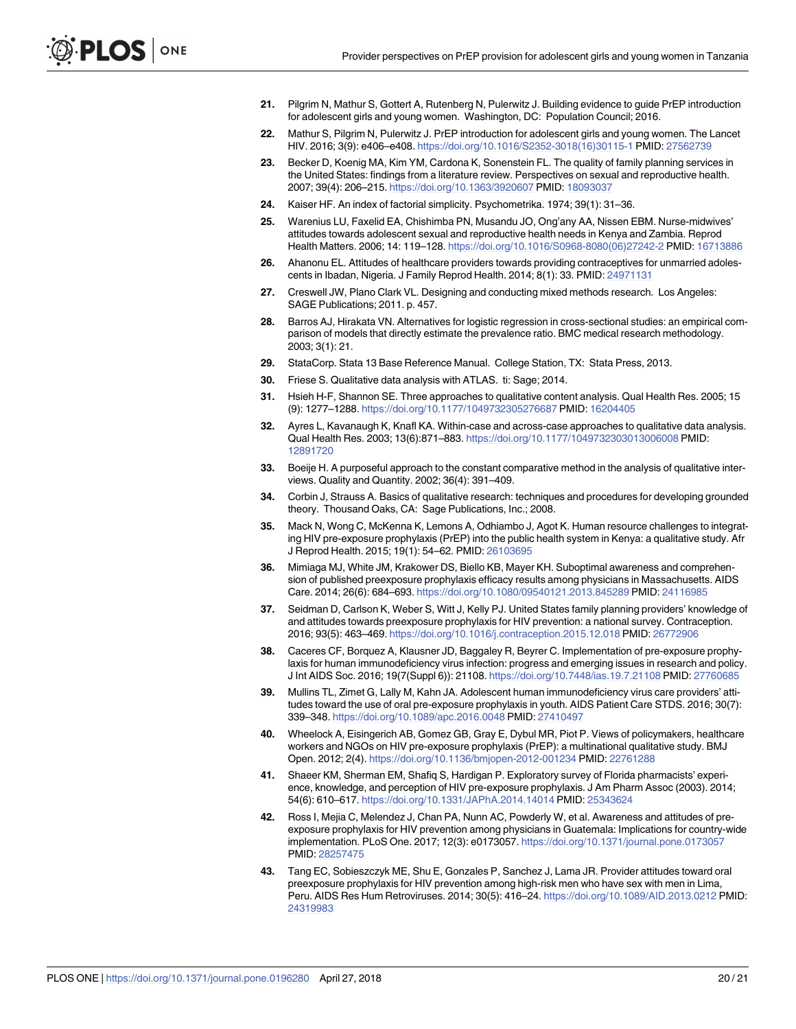- <span id="page-19-0"></span>**[21](#page-1-0).** Pilgrim N, Mathur S, Gottert A, Rutenberg N, Pulerwitz J. Building evidence to guide PrEP introduction for adolescent girls and young women. Washington, DC: Population Council; 2016.
- **[22](#page-1-0).** Mathur S, Pilgrim N, Pulerwitz J. PrEP introduction for adolescent girls and young women. The Lancet HIV. 2016; 3(9): e406–e408. [https://doi.org/10.1016/S2352-3018\(16\)30115-1](https://doi.org/10.1016/S2352-3018(16)30115-1) PMID: [27562739](http://www.ncbi.nlm.nih.gov/pubmed/27562739)
- **[23](#page-4-0).** Becker D, Koenig MA, Kim YM, Cardona K, Sonenstein FL. The quality of family planning services in the United States: findings from a literature review. Perspectives on sexual and reproductive health. 2007; 39(4): 206–215. <https://doi.org/10.1363/3920607> PMID: [18093037](http://www.ncbi.nlm.nih.gov/pubmed/18093037)
- **[24](#page-4-0).** Kaiser HF. An index of factorial simplicity. Psychometrika. 1974; 39(1): 31–36.
- **[25](#page-4-0).** Warenius LU, Faxelid EA, Chishimba PN, Musandu JO, Ong'any AA, Nissen EBM. Nurse-midwives' attitudes towards adolescent sexual and reproductive health needs in Kenya and Zambia. Reprod Health Matters. 2006; 14: 119–128. [https://doi.org/10.1016/S0968-8080\(06\)27242-2](https://doi.org/10.1016/S0968-8080(06)27242-2) PMID: [16713886](http://www.ncbi.nlm.nih.gov/pubmed/16713886)
- **[26](#page-4-0).** Ahanonu EL. Attitudes of healthcare providers towards providing contraceptives for unmarried adolescents in Ibadan, Nigeria. J Family Reprod Health. 2014; 8(1): 33. PMID: [24971131](http://www.ncbi.nlm.nih.gov/pubmed/24971131)
- **[27](#page-5-0).** Creswell JW, Plano Clark VL. Designing and conducting mixed methods research. Los Angeles: SAGE Publications; 2011. p. 457.
- **[28](#page-5-0).** Barros AJ, Hirakata VN. Alternatives for logistic regression in cross-sectional studies: an empirical comparison of models that directly estimate the prevalence ratio. BMC medical research methodology. 2003; 3(1): 21.
- **[29](#page-5-0).** StataCorp. Stata 13 Base Reference Manual. College Station, TX: Stata Press, 2013.
- **[30](#page-6-0).** Friese S. Qualitative data analysis with ATLAS. ti: Sage; 2014.
- **[31](#page-6-0).** Hsieh H-F, Shannon SE. Three approaches to qualitative content analysis. Qual Health Res. 2005; 15 (9): 1277–1288. <https://doi.org/10.1177/1049732305276687> PMID: [16204405](http://www.ncbi.nlm.nih.gov/pubmed/16204405)
- **[32](#page-6-0).** Ayres L, Kavanaugh K, Knafl KA. Within-case and across-case approaches to qualitative data analysis. Qual Health Res. 2003; 13(6):871–883. <https://doi.org/10.1177/1049732303013006008> PMID: [12891720](http://www.ncbi.nlm.nih.gov/pubmed/12891720)
- **33.** Boeije H. A purposeful approach to the constant comparative method in the analysis of qualitative interviews. Quality and Quantity. 2002; 36(4): 391–409.
- **[34](#page-6-0).** Corbin J, Strauss A. Basics of qualitative research: techniques and procedures for developing grounded theory. Thousand Oaks, CA: Sage Publications, Inc.; 2008.
- **[35](#page-15-0).** Mack N, Wong C, McKenna K, Lemons A, Odhiambo J, Agot K. Human resource challenges to integrating HIV pre-exposure prophylaxis (PrEP) into the public health system in Kenya: a qualitative study. Afr J Reprod Health. 2015; 19(1): 54–62. PMID: [26103695](http://www.ncbi.nlm.nih.gov/pubmed/26103695)
- **[36](#page-15-0).** Mimiaga MJ, White JM, Krakower DS, Biello KB, Mayer KH. Suboptimal awareness and comprehension of published preexposure prophylaxis efficacy results among physicians in Massachusetts. AIDS Care. 2014; 26(6): 684–693. <https://doi.org/10.1080/09540121.2013.845289> PMID: [24116985](http://www.ncbi.nlm.nih.gov/pubmed/24116985)
- **37.** Seidman D, Carlson K, Weber S, Witt J, Kelly PJ. United States family planning providers' knowledge of and attitudes towards preexposure prophylaxis for HIV prevention: a national survey. Contraception. 2016; 93(5): 463–469. <https://doi.org/10.1016/j.contraception.2015.12.018> PMID: [26772906](http://www.ncbi.nlm.nih.gov/pubmed/26772906)
- **38.** Caceres CF, Borquez A, Klausner JD, Baggaley R, Beyrer C. Implementation of pre-exposure prophylaxis for human immunodeficiency virus infection: progress and emerging issues in research and policy. J Int AIDS Soc. 2016; 19(7(Suppl 6)): 21108. <https://doi.org/10.7448/ias.19.7.21108> PMID: [27760685](http://www.ncbi.nlm.nih.gov/pubmed/27760685)
- **[39](#page-16-0).** Mullins TL, Zimet G, Lally M, Kahn JA. Adolescent human immunodeficiency virus care providers' attitudes toward the use of oral pre-exposure prophylaxis in youth. AIDS Patient Care STDS. 2016; 30(7): 339–348. <https://doi.org/10.1089/apc.2016.0048> PMID: [27410497](http://www.ncbi.nlm.nih.gov/pubmed/27410497)
- **[40](#page-15-0).** Wheelock A, Eisingerich AB, Gomez GB, Gray E, Dybul MR, Piot P. Views of policymakers, healthcare workers and NGOs on HIV pre-exposure prophylaxis (PrEP): a multinational qualitative study. BMJ Open. 2012; 2(4). <https://doi.org/10.1136/bmjopen-2012-001234> PMID: [22761288](http://www.ncbi.nlm.nih.gov/pubmed/22761288)
- **41.** Shaeer KM, Sherman EM, Shafiq S, Hardigan P. Exploratory survey of Florida pharmacists' experience, knowledge, and perception of HIV pre-exposure prophylaxis. J Am Pharm Assoc (2003). 2014; 54(6): 610–617. <https://doi.org/10.1331/JAPhA.2014.14014> PMID: [25343624](http://www.ncbi.nlm.nih.gov/pubmed/25343624)
- **42.** Ross I, Mejia C, Melendez J, Chan PA, Nunn AC, Powderly W, et al. Awareness and attitudes of preexposure prophylaxis for HIV prevention among physicians in Guatemala: Implications for country-wide implementation. PLoS One. 2017; 12(3): e0173057. <https://doi.org/10.1371/journal.pone.0173057> PMID: [28257475](http://www.ncbi.nlm.nih.gov/pubmed/28257475)
- **43.** Tang EC, Sobieszczyk ME, Shu E, Gonzales P, Sanchez J, Lama JR. Provider attitudes toward oral preexposure prophylaxis for HIV prevention among high-risk men who have sex with men in Lima, Peru. AIDS Res Hum Retroviruses. 2014; 30(5): 416–24. <https://doi.org/10.1089/AID.2013.0212> PMID: [24319983](http://www.ncbi.nlm.nih.gov/pubmed/24319983)